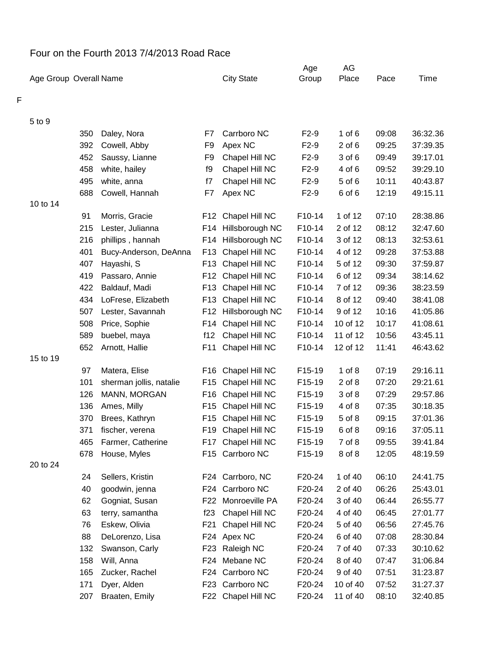## Four on the Fourth 2013 7/4/2013 Road Race

|   |                        |     |                         |                 |                    | Age    | AG         |       |          |
|---|------------------------|-----|-------------------------|-----------------|--------------------|--------|------------|-------|----------|
|   | Age Group Overall Name |     |                         |                 | <b>City State</b>  | Group  | Place      | Pace  | Time     |
| F |                        |     |                         |                 |                    |        |            |       |          |
|   | 5 to 9                 |     |                         |                 |                    |        |            |       |          |
|   |                        | 350 | Daley, Nora             | F7              | Carrboro NC        | $F2-9$ | 1 of $6$   | 09:08 | 36:32.36 |
|   |                        | 392 | Cowell, Abby            | F <sub>9</sub>  | Apex NC            | $F2-9$ | $2$ of $6$ | 09:25 | 37:39.35 |
|   |                        | 452 | Saussy, Lianne          | F <sub>9</sub>  | Chapel Hill NC     | $F2-9$ | 3 of 6     | 09:49 | 39:17.01 |
|   |                        | 458 | white, hailey           | f9              | Chapel Hill NC     | $F2-9$ | 4 of 6     | 09:52 | 39:29.10 |
|   |                        | 495 | white, anna             | f7              | Chapel Hill NC     | $F2-9$ | 5 of 6     | 10:11 | 40:43.87 |
|   |                        | 688 | Cowell, Hannah          | F7              | Apex NC            | $F2-9$ | 6 of 6     | 12:19 | 49:15.11 |
|   | 10 to 14               |     |                         |                 |                    |        |            |       |          |
|   |                        | 91  | Morris, Gracie          | F12             | Chapel Hill NC     | F10-14 | 1 of 12    | 07:10 | 28:38.86 |
|   |                        | 215 | Lester, Julianna        | F14             | Hillsborough NC    | F10-14 | 2 of 12    | 08:12 | 32:47.60 |
|   |                        | 216 | phillips, hannah        | F14             | Hillsborough NC    | F10-14 | 3 of 12    | 08:13 | 32:53.61 |
|   |                        | 401 | Bucy-Anderson, DeAnna   | F <sub>13</sub> | Chapel Hill NC     | F10-14 | 4 of 12    | 09:28 | 37:53.88 |
|   |                        | 407 | Hayashi, S              | F <sub>13</sub> | Chapel Hill NC     | F10-14 | 5 of 12    | 09:30 | 37:59.87 |
|   |                        | 419 | Passaro, Annie          | F12             | Chapel Hill NC     | F10-14 | 6 of 12    | 09:34 | 38:14.62 |
|   |                        | 422 | Baldauf, Madi           | F <sub>13</sub> | Chapel Hill NC     | F10-14 | 7 of 12    | 09:36 | 38:23.59 |
|   |                        | 434 | LoFrese, Elizabeth      | F <sub>13</sub> | Chapel Hill NC     | F10-14 | 8 of 12    | 09:40 | 38:41.08 |
|   |                        | 507 | Lester, Savannah        | F12             | Hillsborough NC    | F10-14 | 9 of 12    | 10:16 | 41:05.86 |
|   |                        | 508 | Price, Sophie           | F14             | Chapel Hill NC     | F10-14 | 10 of 12   | 10:17 | 41:08.61 |
|   |                        | 589 | buebel, maya            | f12             | Chapel Hill NC     | F10-14 | 11 of 12   | 10:56 | 43:45.11 |
|   |                        | 652 | Arnott, Hallie          | F11             | Chapel Hill NC     | F10-14 | 12 of 12   | 11:41 | 46:43.62 |
|   | 15 to 19               |     |                         |                 |                    |        |            |       |          |
|   |                        | 97  | Matera, Elise           | F16             | Chapel Hill NC     | F15-19 | $1$ of $8$ | 07:19 | 29:16.11 |
|   |                        | 101 | sherman jollis, natalie | F15             | Chapel Hill NC     | F15-19 | $2$ of $8$ | 07:20 | 29:21.61 |
|   |                        | 126 | MANN, MORGAN            | F16             | Chapel Hill NC     | F15-19 | 3 of 8     | 07:29 | 29:57.86 |
|   |                        | 136 | Ames, Milly             | F15             | Chapel Hill NC     | F15-19 | 4 of 8     | 07:35 | 30:18.35 |
|   |                        | 370 | Brees, Kathryn          | F15             | Chapel Hill NC     | F15-19 | 5 of 8     | 09:15 | 37:01.36 |
|   |                        | 371 | fischer, verena         |                 | F19 Chapel Hill NC | F15-19 | 6 of 8     | 09:16 | 37:05.11 |
|   |                        | 465 | Farmer, Catherine       |                 | F17 Chapel Hill NC | F15-19 | 7 of 8     | 09:55 | 39:41.84 |
|   |                        | 678 | House, Myles            |                 | F15 Carrboro NC    | F15-19 | 8 of 8     | 12:05 | 48:19.59 |
|   | 20 to 24               |     |                         |                 |                    |        |            |       |          |
|   |                        | 24  | Sellers, Kristin        |                 | F24 Carrboro, NC   | F20-24 | 1 of 40    | 06:10 | 24:41.75 |
|   |                        | 40  | goodwin, jenna          |                 | F24 Carrboro NC    | F20-24 | 2 of 40    | 06:26 | 25:43.01 |
|   |                        | 62  | Gogniat, Susan          | F22             | Monroeville PA     | F20-24 | 3 of 40    | 06:44 | 26:55.77 |
|   |                        | 63  | terry, samantha         | f23             | Chapel Hill NC     | F20-24 | 4 of 40    | 06:45 | 27:01.77 |
|   |                        | 76  | Eskew, Olivia           | F21             | Chapel Hill NC     | F20-24 | 5 of 40    | 06:56 | 27:45.76 |
|   |                        | 88  | DeLorenzo, Lisa         |                 | F24 Apex NC        | F20-24 | 6 of 40    | 07:08 | 28:30.84 |
|   |                        | 132 | Swanson, Carly          | F23             | Raleigh NC         | F20-24 | 7 of 40    | 07:33 | 30:10.62 |
|   |                        | 158 | Will, Anna              |                 | F24 Mebane NC      | F20-24 | 8 of 40    | 07:47 | 31:06.84 |
|   |                        | 165 | Zucker, Rachel          |                 | F24 Carrboro NC    | F20-24 | 9 of 40    | 07:51 | 31:23.87 |
|   |                        | 171 | Dyer, Alden             |                 | F23 Carrboro NC    | F20-24 | 10 of 40   | 07:52 | 31:27.37 |
|   |                        | 207 | Braaten, Emily          |                 | F22 Chapel Hill NC | F20-24 | 11 of 40   | 08:10 | 32:40.85 |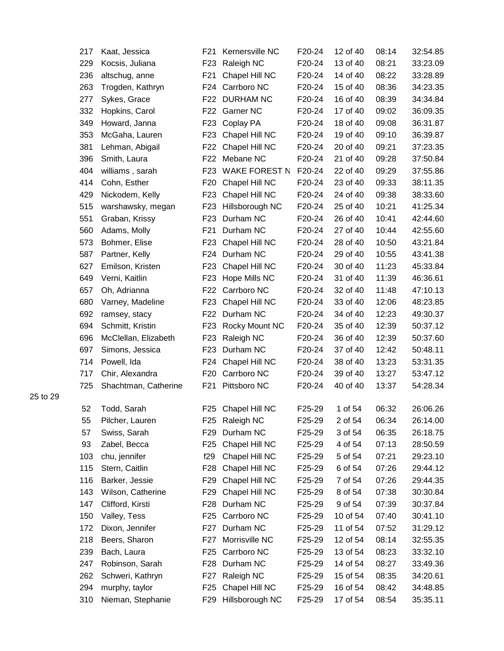| 217 | Kaat, Jessica        | F21             | Kernersville NC      | F20-24 | 12 of 40 | 08:14 | 32:54.85 |
|-----|----------------------|-----------------|----------------------|--------|----------|-------|----------|
| 229 | Kocsis, Juliana      | F <sub>23</sub> | Raleigh NC           | F20-24 | 13 of 40 | 08:21 | 33:23.09 |
| 236 | altschug, anne       | F <sub>21</sub> | Chapel Hill NC       | F20-24 | 14 of 40 | 08:22 | 33:28.89 |
| 263 | Trogden, Kathryn     | F24             | Carrboro NC          | F20-24 | 15 of 40 | 08:36 | 34:23.35 |
| 277 | Sykes, Grace         | F22             | <b>DURHAM NC</b>     | F20-24 | 16 of 40 | 08:39 | 34:34.84 |
| 332 | Hopkins, Carol       | F22             | Garner NC            | F20-24 | 17 of 40 | 09:02 | 36:09.35 |
| 349 | Howard, Janna        | F <sub>23</sub> | Coplay PA            | F20-24 | 18 of 40 | 09:08 | 36:31.87 |
| 353 | McGaha, Lauren       | F <sub>23</sub> | Chapel Hill NC       | F20-24 | 19 of 40 | 09:10 | 36:39.87 |
| 381 | Lehman, Abigail      | F <sub>22</sub> | Chapel Hill NC       | F20-24 | 20 of 40 | 09:21 | 37:23.35 |
| 396 | Smith, Laura         | F <sub>22</sub> | Mebane NC            | F20-24 | 21 of 40 | 09:28 | 37:50.84 |
| 404 | williams, sarah      | F <sub>23</sub> | <b>WAKE FOREST N</b> | F20-24 | 22 of 40 | 09:29 | 37:55.86 |
| 414 | Cohn, Esther         | F <sub>20</sub> | Chapel Hill NC       | F20-24 | 23 of 40 | 09:33 | 38:11.35 |
| 429 | Nickodem, Kelly      | F <sub>23</sub> | Chapel Hill NC       | F20-24 | 24 of 40 | 09:38 | 38:33.60 |
| 515 | warshawsky, megan    | F <sub>23</sub> | Hillsborough NC      | F20-24 | 25 of 40 | 10:21 | 41:25.34 |
| 551 | Graban, Krissy       | F <sub>23</sub> | Durham NC            | F20-24 | 26 of 40 | 10:41 | 42:44.60 |
| 560 | Adams, Molly         | F <sub>21</sub> | Durham NC            | F20-24 | 27 of 40 | 10:44 | 42:55.60 |
| 573 | Bohmer, Elise        | F <sub>23</sub> | Chapel Hill NC       | F20-24 | 28 of 40 | 10:50 | 43:21.84 |
| 587 | Partner, Kelly       | F24             | Durham NC            | F20-24 | 29 of 40 | 10:55 | 43:41.38 |
| 627 | Emilson, Kristen     | F <sub>23</sub> | Chapel Hill NC       | F20-24 | 30 of 40 | 11:23 | 45:33.84 |
| 649 | Verni, Kaitlin       | F <sub>23</sub> | Hope Mills NC        | F20-24 | 31 of 40 | 11:39 | 46:36.61 |
| 657 | Oh, Adrianna         | F <sub>22</sub> | Carrboro NC          | F20-24 | 32 of 40 | 11:48 | 47:10.13 |
| 680 | Varney, Madeline     | F <sub>23</sub> | Chapel Hill NC       | F20-24 | 33 of 40 | 12:06 | 48:23.85 |
| 692 | ramsey, stacy        | F22             | Durham NC            | F20-24 | 34 of 40 | 12:23 | 49:30.37 |
| 694 | Schmitt, Kristin     | F <sub>23</sub> | Rocky Mount NC       | F20-24 | 35 of 40 | 12:39 | 50:37.12 |
| 696 | McClellan, Elizabeth | F <sub>23</sub> | Raleigh NC           | F20-24 | 36 of 40 | 12:39 | 50:37.60 |
| 697 | Simons, Jessica      | F <sub>23</sub> | Durham NC            | F20-24 | 37 of 40 | 12:42 | 50:48.11 |
| 714 | Powell, Ida          | F24             | Chapel Hill NC       | F20-24 | 38 of 40 | 13:23 | 53:31.35 |
| 717 | Chir, Alexandra      | F <sub>20</sub> | Carrboro NC          | F20-24 | 39 of 40 | 13:27 | 53:47.12 |
| 725 | Shachtman, Catherine | F <sub>21</sub> | Pittsboro NC         | F20-24 | 40 of 40 | 13:37 | 54:28.34 |
| 52  | Todd, Sarah          | F25             | Chapel Hill NC       | F25-29 | 1 of 54  | 06:32 | 26:06.26 |
| 55  | Pilcher, Lauren      |                 | F25 Raleigh NC       | F25-29 | 2 of 54  | 06:34 | 26:14.00 |
| 57  | Swiss, Sarah         | F <sub>29</sub> | Durham NC            | F25-29 | 3 of 54  | 06:35 | 26:18.75 |
| 93  | Zabel, Becca         | F <sub>25</sub> | Chapel Hill NC       | F25-29 | 4 of 54  | 07:13 | 28:50.59 |
| 103 | chu, jennifer        | f29             | Chapel Hill NC       | F25-29 | 5 of 54  | 07:21 | 29:23.10 |
| 115 | Stern, Caitlin       | F <sub>28</sub> | Chapel Hill NC       | F25-29 | 6 of 54  | 07:26 | 29:44.12 |
| 116 | Barker, Jessie       | F <sub>29</sub> | Chapel Hill NC       | F25-29 | 7 of 54  | 07:26 | 29:44.35 |
| 143 | Wilson, Catherine    | F <sub>29</sub> | Chapel Hill NC       | F25-29 | 8 of 54  | 07:38 | 30:30.84 |
| 147 | Clifford, Kirsti     | F <sub>28</sub> | Durham NC            | F25-29 | 9 of 54  | 07:39 | 30:37.84 |
| 150 | Valley, Tess         | F <sub>25</sub> | Carrboro NC          | F25-29 | 10 of 54 | 07:40 | 30:41.10 |
| 172 | Dixon, Jennifer      | F27             | Durham NC            | F25-29 | 11 of 54 | 07:52 | 31:29.12 |
| 218 | Beers, Sharon        | F27             | Morrisville NC       | F25-29 | 12 of 54 | 08:14 | 32:55.35 |
| 239 | Bach, Laura          | F <sub>25</sub> | Carrboro NC          | F25-29 | 13 of 54 | 08:23 | 33:32.10 |
| 247 | Robinson, Sarah      | F <sub>28</sub> | Durham NC            | F25-29 | 14 of 54 | 08:27 | 33:49.36 |
| 262 | Schweri, Kathryn     | F <sub>27</sub> | Raleigh NC           | F25-29 | 15 of 54 | 08:35 | 34:20.61 |
| 294 | murphy, taylor       | F <sub>25</sub> | Chapel Hill NC       | F25-29 | 16 of 54 | 08:42 | 34:48.85 |
| 310 | Nieman, Stephanie    |                 | F29 Hillsborough NC  | F25-29 | 17 of 54 | 08:54 | 35:35.11 |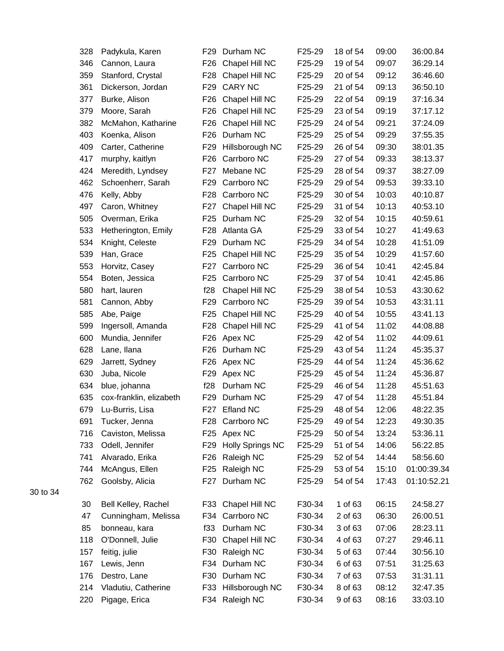| 328 | Padykula, Karen         | F <sub>29</sub> | Durham NC               | F25-29 | 18 of 54 | 09:00 | 36:00.84    |
|-----|-------------------------|-----------------|-------------------------|--------|----------|-------|-------------|
| 346 | Cannon, Laura           | F <sub>26</sub> | Chapel Hill NC          | F25-29 | 19 of 54 | 09:07 | 36:29.14    |
| 359 | Stanford, Crystal       | F28             | Chapel Hill NC          | F25-29 | 20 of 54 | 09:12 | 36:46.60    |
| 361 | Dickerson, Jordan       | F <sub>29</sub> | <b>CARY NC</b>          | F25-29 | 21 of 54 | 09:13 | 36:50.10    |
| 377 | Burke, Alison           | F <sub>26</sub> | Chapel Hill NC          | F25-29 | 22 of 54 | 09:19 | 37:16.34    |
| 379 | Moore, Sarah            | F26             | Chapel Hill NC          | F25-29 | 23 of 54 | 09:19 | 37:17.12    |
| 382 | McMahon, Katharine      | F <sub>26</sub> | Chapel Hill NC          | F25-29 | 24 of 54 | 09:21 | 37:24.09    |
| 403 | Koenka, Alison          | F <sub>26</sub> | Durham NC               | F25-29 | 25 of 54 | 09:29 | 37:55.35    |
| 409 | Carter, Catherine       | F <sub>29</sub> | Hillsborough NC         | F25-29 | 26 of 54 | 09:30 | 38:01.35    |
| 417 | murphy, kaitlyn         | F26             | Carrboro NC             | F25-29 | 27 of 54 | 09:33 | 38:13.37    |
| 424 | Meredith, Lyndsey       | F27             | Mebane NC               | F25-29 | 28 of 54 | 09:37 | 38:27.09    |
| 462 | Schoenherr, Sarah       | F29             | Carrboro NC             | F25-29 | 29 of 54 | 09:53 | 39:33.10    |
| 476 | Kelly, Abby             | F28             | Carrboro NC             | F25-29 | 30 of 54 | 10:03 | 40:10.87    |
| 497 | Caron, Whitney          | F27             | Chapel Hill NC          | F25-29 | 31 of 54 | 10:13 | 40:53.10    |
| 505 | Overman, Erika          | F <sub>25</sub> | Durham NC               | F25-29 | 32 of 54 | 10:15 | 40:59.61    |
| 533 | Hetherington, Emily     | F <sub>28</sub> | Atlanta GA              | F25-29 | 33 of 54 | 10:27 | 41:49.63    |
| 534 | Knight, Celeste         | F <sub>29</sub> | Durham NC               | F25-29 | 34 of 54 | 10:28 | 41:51.09    |
| 539 | Han, Grace              | F <sub>25</sub> | Chapel Hill NC          | F25-29 | 35 of 54 | 10:29 | 41:57.60    |
| 553 | Horvitz, Casey          | F27             | Carrboro NC             | F25-29 | 36 of 54 | 10:41 | 42:45.84    |
| 554 | Boten, Jessica          | F25             | Carrboro NC             | F25-29 | 37 of 54 | 10:41 | 42:45.86    |
| 580 | hart, lauren            | f28             | Chapel Hill NC          | F25-29 | 38 of 54 | 10:53 | 43:30.62    |
| 581 | Cannon, Abby            | F <sub>29</sub> | Carrboro NC             | F25-29 | 39 of 54 | 10:53 | 43:31.11    |
| 585 | Abe, Paige              | F <sub>25</sub> | Chapel Hill NC          | F25-29 | 40 of 54 | 10:55 | 43:41.13    |
| 599 | Ingersoll, Amanda       | F <sub>28</sub> | Chapel Hill NC          | F25-29 | 41 of 54 | 11:02 | 44:08.88    |
| 600 | Mundia, Jennifer        | F26             | Apex NC                 | F25-29 | 42 of 54 | 11:02 | 44:09.61    |
| 628 | Lane, Ilana             | F <sub>26</sub> | Durham NC               | F25-29 | 43 of 54 | 11:24 | 45:35.37    |
| 629 | Jarrett, Sydney         | F <sub>26</sub> | Apex NC                 | F25-29 | 44 of 54 | 11:24 | 45:36.62    |
| 630 | Juba, Nicole            | F <sub>29</sub> | Apex NC                 | F25-29 | 45 of 54 | 11:24 | 45:36.87    |
| 634 | blue, johanna           | f28             | Durham NC               | F25-29 | 46 of 54 | 11:28 | 45:51.63    |
| 635 | cox-franklin, elizabeth | F29             | Durham NC               | F25-29 | 47 of 54 | 11:28 | 45:51.84    |
| 679 | Lu-Burris, Lisa         | F27             | <b>Efland NC</b>        | F25-29 | 48 of 54 | 12:06 | 48:22.35    |
| 691 | Tucker, Jenna           | F28             | Carrboro NC             | F25-29 | 49 of 54 | 12:23 | 49:30.35    |
| 716 | Caviston, Melissa       | F <sub>25</sub> | Apex NC                 | F25-29 | 50 of 54 | 13:24 | 53:36.11    |
| 733 | Odell, Jennifer         | F <sub>29</sub> | <b>Holly Springs NC</b> | F25-29 | 51 of 54 | 14:06 | 56:22.85    |
| 741 | Alvarado, Erika         | F <sub>26</sub> | Raleigh NC              | F25-29 | 52 of 54 | 14:44 | 58:56.60    |
| 744 | McAngus, Ellen          | F <sub>25</sub> | Raleigh NC              | F25-29 | 53 of 54 | 15:10 | 01:00:39.34 |
| 762 | Goolsby, Alicia         | F27             | Durham NC               | F25-29 | 54 of 54 | 17:43 | 01:10:52.21 |
| 30  | Bell Kelley, Rachel     | F33             | Chapel Hill NC          | F30-34 | 1 of 63  | 06:15 | 24:58.27    |
| 47  | Cunningham, Melissa     | F34             | Carrboro NC             | F30-34 | 2 of 63  | 06:30 | 26:00.51    |
| 85  | bonneau, kara           | f33             | Durham NC               | F30-34 | 3 of 63  | 07:06 | 28:23.11    |
| 118 | O'Donnell, Julie        | F30             | Chapel Hill NC          | F30-34 | 4 of 63  | 07:27 | 29:46.11    |
| 157 | feitig, julie           | F30             | Raleigh NC              | F30-34 | 5 of 63  | 07:44 | 30:56.10    |
| 167 | Lewis, Jenn             | F34             | Durham NC               | F30-34 | 6 of 63  | 07:51 | 31:25.63    |
| 176 | Destro, Lane            | F30             | Durham NC               | F30-34 | 7 of 63  | 07:53 | 31:31.11    |
| 214 | Vladutiu, Catherine     | F33             | Hillsborough NC         | F30-34 | 8 of 63  | 08:12 | 32:47.35    |
| 220 | Pigage, Erica           |                 | F34 Raleigh NC          | F30-34 | 9 of 63  | 08:16 | 33:03.10    |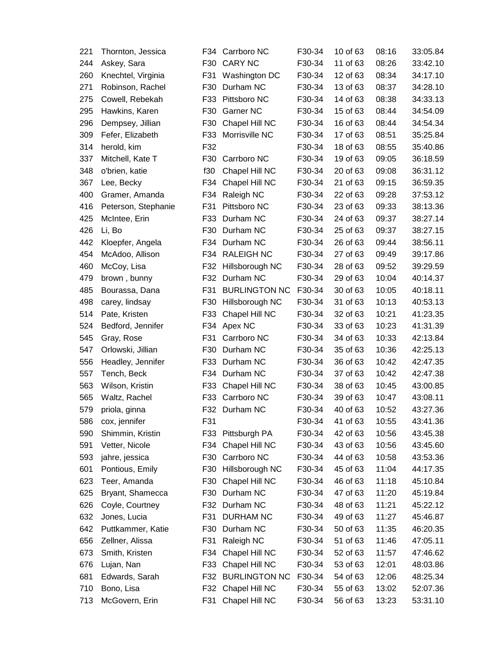| 221 | Thornton, Jessica   | F34 | Carrboro NC          | F30-34 | 10 of 63 | 08:16 | 33:05.84 |
|-----|---------------------|-----|----------------------|--------|----------|-------|----------|
| 244 | Askey, Sara         | F30 | <b>CARY NC</b>       | F30-34 | 11 of 63 | 08:26 | 33:42.10 |
| 260 | Knechtel, Virginia  | F31 | Washington DC        | F30-34 | 12 of 63 | 08:34 | 34:17.10 |
| 271 | Robinson, Rachel    | F30 | Durham NC            | F30-34 | 13 of 63 | 08:37 | 34:28.10 |
| 275 | Cowell, Rebekah     | F33 | Pittsboro NC         | F30-34 | 14 of 63 | 08:38 | 34:33.13 |
| 295 | Hawkins, Karen      | F30 | Garner NC            | F30-34 | 15 of 63 | 08:44 | 34:54.09 |
| 296 | Dempsey, Jillian    | F30 | Chapel Hill NC       | F30-34 | 16 of 63 | 08:44 | 34:54.34 |
| 309 | Fefer, Elizabeth    | F33 | Morrisville NC       | F30-34 | 17 of 63 | 08:51 | 35:25.84 |
| 314 | herold, kim         | F32 |                      | F30-34 | 18 of 63 | 08:55 | 35:40.86 |
| 337 | Mitchell, Kate T    | F30 | Carrboro NC          | F30-34 | 19 of 63 | 09:05 | 36:18.59 |
| 348 | o'brien, katie      | f30 | Chapel Hill NC       | F30-34 | 20 of 63 | 09:08 | 36:31.12 |
| 367 | Lee, Becky          | F34 | Chapel Hill NC       | F30-34 | 21 of 63 | 09:15 | 36:59.35 |
| 400 | Gramer, Amanda      | F34 | Raleigh NC           | F30-34 | 22 of 63 | 09:28 | 37:53.12 |
| 416 | Peterson, Stephanie | F31 | Pittsboro NC         | F30-34 | 23 of 63 | 09:33 | 38:13.36 |
| 425 | McIntee, Erin       | F33 | Durham NC            | F30-34 | 24 of 63 | 09:37 | 38:27.14 |
| 426 | Li, Bo              | F30 | Durham NC            | F30-34 | 25 of 63 | 09:37 | 38:27.15 |
| 442 | Kloepfer, Angela    | F34 | Durham NC            | F30-34 | 26 of 63 | 09:44 | 38:56.11 |
| 454 | McAdoo, Allison     | F34 | <b>RALEIGH NC</b>    | F30-34 | 27 of 63 | 09:49 | 39:17.86 |
| 460 | McCoy, Lisa         | F32 | Hillsborough NC      | F30-34 | 28 of 63 | 09:52 | 39:29.59 |
| 479 | brown, bunny        | F32 | Durham NC            | F30-34 | 29 of 63 | 10:04 | 40:14.37 |
| 485 | Bourassa, Dana      | F31 | <b>BURLINGTON NC</b> | F30-34 | 30 of 63 | 10:05 | 40:18.11 |
| 498 | carey, lindsay      | F30 | Hillsborough NC      | F30-34 | 31 of 63 | 10:13 | 40:53.13 |
| 514 | Pate, Kristen       | F33 | Chapel Hill NC       | F30-34 | 32 of 63 | 10:21 | 41:23.35 |
| 524 | Bedford, Jennifer   | F34 | Apex NC              | F30-34 | 33 of 63 | 10:23 | 41:31.39 |
| 545 | Gray, Rose          | F31 | Carrboro NC          | F30-34 | 34 of 63 | 10:33 | 42:13.84 |
| 547 | Orlowski, Jillian   | F30 | Durham NC            | F30-34 | 35 of 63 | 10:36 | 42:25.13 |
| 556 | Headley, Jennifer   | F33 | Durham NC            | F30-34 | 36 of 63 | 10:42 | 42:47.35 |
| 557 | Tench, Beck         | F34 | Durham NC            | F30-34 | 37 of 63 | 10:42 | 42:47.38 |
| 563 | Wilson, Kristin     | F33 | Chapel Hill NC       | F30-34 | 38 of 63 | 10:45 | 43:00.85 |
| 565 | Waltz, Rachel       | F33 | Carrboro NC          | F30-34 | 39 of 63 | 10:47 | 43:08.11 |
| 579 | priola, ginna       |     | F32 Durham NC        | F30-34 | 40 of 63 | 10:52 | 43:27.36 |
| 586 | cox, jennifer       | F31 |                      | F30-34 | 41 of 63 | 10:55 | 43:41.36 |
| 590 | Shimmin, Kristin    | F33 | Pittsburgh PA        | F30-34 | 42 of 63 | 10:56 | 43:45.38 |
| 591 | Vetter, Nicole      | F34 | Chapel Hill NC       | F30-34 | 43 of 63 | 10:56 | 43:45.60 |
| 593 | jahre, jessica      | F30 | Carrboro NC          | F30-34 | 44 of 63 | 10:58 | 43:53.36 |
| 601 | Pontious, Emily     | F30 | Hillsborough NC      | F30-34 | 45 of 63 | 11:04 | 44:17.35 |
| 623 | Teer, Amanda        | F30 | Chapel Hill NC       | F30-34 | 46 of 63 | 11:18 | 45:10.84 |
| 625 | Bryant, Shamecca    | F30 | Durham NC            | F30-34 | 47 of 63 | 11:20 | 45:19.84 |
| 626 | Coyle, Courtney     | F32 | Durham NC            | F30-34 | 48 of 63 | 11:21 | 45:22.12 |
| 632 | Jones, Lucia        | F31 | <b>DURHAM NC</b>     | F30-34 | 49 of 63 | 11:27 | 45:46.87 |
| 642 | Puttkammer, Katie   | F30 | Durham NC            | F30-34 | 50 of 63 | 11:35 | 46:20.35 |
| 656 | Zellner, Alissa     | F31 | Raleigh NC           | F30-34 | 51 of 63 | 11:46 | 47:05.11 |
| 673 | Smith, Kristen      | F34 | Chapel Hill NC       | F30-34 | 52 of 63 | 11:57 | 47:46.62 |
| 676 | Lujan, Nan          | F33 | Chapel Hill NC       | F30-34 | 53 of 63 | 12:01 | 48:03.86 |
| 681 | Edwards, Sarah      | F32 | <b>BURLINGTON NC</b> | F30-34 | 54 of 63 | 12:06 | 48:25.34 |
| 710 | Bono, Lisa          |     | F32 Chapel Hill NC   | F30-34 | 55 of 63 | 13:02 | 52:07.36 |
| 713 | McGovern, Erin      | F31 | Chapel Hill NC       | F30-34 | 56 of 63 | 13:23 | 53:31.10 |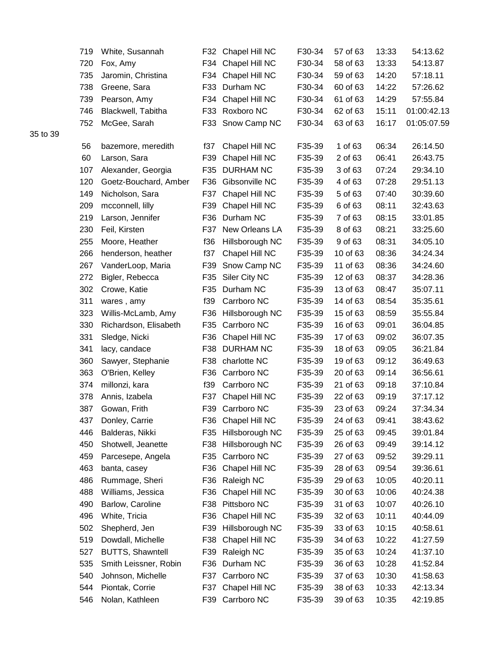| 719 | White, Susannah         |     | F32 Chapel Hill NC | F30-34 | 57 of 63 | 13:33 | 54:13.62    |
|-----|-------------------------|-----|--------------------|--------|----------|-------|-------------|
| 720 | Fox, Amy                | F34 | Chapel Hill NC     | F30-34 | 58 of 63 | 13:33 | 54:13.87    |
| 735 | Jaromin, Christina      | F34 | Chapel Hill NC     | F30-34 | 59 of 63 | 14:20 | 57:18.11    |
| 738 | Greene, Sara            | F33 | Durham NC          | F30-34 | 60 of 63 | 14:22 | 57:26.62    |
| 739 | Pearson, Amy            | F34 | Chapel Hill NC     | F30-34 | 61 of 63 | 14:29 | 57:55.84    |
| 746 | Blackwell, Tabitha      | F33 | Roxboro NC         | F30-34 | 62 of 63 | 15:11 | 01:00:42.13 |
| 752 | McGee, Sarah            | F33 | Snow Camp NC       | F30-34 | 63 of 63 | 16:17 | 01:05:07.59 |
| 56  | bazemore, meredith      | f37 | Chapel Hill NC     | F35-39 | 1 of 63  | 06:34 | 26:14.50    |
| 60  | Larson, Sara            | F39 | Chapel Hill NC     | F35-39 | 2 of 63  | 06:41 | 26:43.75    |
| 107 | Alexander, Georgia      | F35 | <b>DURHAM NC</b>   | F35-39 | 3 of 63  | 07:24 | 29:34.10    |
| 120 | Goetz-Bouchard, Amber   | F36 | Gibsonville NC     | F35-39 | 4 of 63  | 07:28 | 29:51.13    |
| 149 | Nicholson, Sara         | F37 | Chapel Hill NC     | F35-39 | 5 of 63  | 07:40 | 30:39.60    |
| 209 | mcconnell, lilly        | F39 | Chapel Hill NC     | F35-39 | 6 of 63  | 08:11 | 32:43.63    |
| 219 | Larson, Jennifer        | F36 | Durham NC          | F35-39 | 7 of 63  | 08:15 | 33:01.85    |
| 230 | Feil, Kirsten           | F37 | New Orleans LA     | F35-39 | 8 of 63  | 08:21 | 33:25.60    |
| 255 | Moore, Heather          | f36 | Hillsborough NC    | F35-39 | 9 of 63  | 08:31 | 34:05.10    |
| 266 | henderson, heather      | f37 | Chapel Hill NC     | F35-39 | 10 of 63 | 08:36 | 34:24.34    |
| 267 | VanderLoop, Maria       | F39 | Snow Camp NC       | F35-39 | 11 of 63 | 08:36 | 34:24.60    |
| 272 | Bigler, Rebecca         | F35 | Siler City NC      | F35-39 | 12 of 63 | 08:37 | 34:28.36    |
| 302 | Crowe, Katie            | F35 | Durham NC          | F35-39 | 13 of 63 | 08:47 | 35:07.11    |
| 311 | wares, amy              | f39 | Carrboro NC        | F35-39 | 14 of 63 | 08:54 | 35:35.61    |
| 323 | Willis-McLamb, Amy      | F36 | Hillsborough NC    | F35-39 | 15 of 63 | 08:59 | 35:55.84    |
| 330 | Richardson, Elisabeth   | F35 | Carrboro NC        | F35-39 | 16 of 63 | 09:01 | 36:04.85    |
| 331 | Sledge, Nicki           | F36 | Chapel Hill NC     | F35-39 | 17 of 63 | 09:02 | 36:07.35    |
| 341 | lacy, candace           | F38 | <b>DURHAM NC</b>   | F35-39 | 18 of 63 | 09:05 | 36:21.84    |
| 360 | Sawyer, Stephanie       | F38 | charlotte NC       | F35-39 | 19 of 63 | 09:12 | 36:49.63    |
| 363 | O'Brien, Kelley         | F36 | Carrboro NC        | F35-39 | 20 of 63 | 09:14 | 36:56.61    |
| 374 | millonzi, kara          | f39 | Carrboro NC        | F35-39 | 21 of 63 | 09:18 | 37:10.84    |
| 378 | Annis, Izabela          | F37 | Chapel Hill NC     | F35-39 | 22 of 63 | 09:19 | 37:17.12    |
| 387 | Gowan, Frith            | F39 | Carrboro NC        | F35-39 | 23 of 63 | 09:24 | 37:34.34    |
| 437 | Donley, Carrie          | F36 | Chapel Hill NC     | F35-39 | 24 of 63 | 09:41 | 38:43.62    |
| 446 | Balderas, Nikki         | F35 | Hillsborough NC    | F35-39 | 25 of 63 | 09:45 | 39:01.84    |
| 450 | Shotwell, Jeanette      | F38 | Hillsborough NC    | F35-39 | 26 of 63 | 09:49 | 39:14.12    |
| 459 | Parcesepe, Angela       | F35 | Carrboro NC        | F35-39 | 27 of 63 | 09:52 | 39:29.11    |
| 463 | banta, casey            | F36 | Chapel Hill NC     | F35-39 | 28 of 63 | 09:54 | 39:36.61    |
| 486 | Rummage, Sheri          | F36 | Raleigh NC         | F35-39 | 29 of 63 | 10:05 | 40:20.11    |
| 488 | Williams, Jessica       | F36 | Chapel Hill NC     | F35-39 | 30 of 63 | 10:06 | 40:24.38    |
| 490 | Barlow, Caroline        | F38 | Pittsboro NC       | F35-39 | 31 of 63 | 10:07 | 40:26.10    |
| 496 | White, Tricia           | F36 | Chapel Hill NC     | F35-39 | 32 of 63 | 10:11 | 40:44.09    |
| 502 | Shepherd, Jen           | F39 | Hillsborough NC    | F35-39 | 33 of 63 | 10:15 | 40:58.61    |
| 519 | Dowdall, Michelle       | F38 | Chapel Hill NC     | F35-39 | 34 of 63 | 10:22 | 41:27.59    |
| 527 | <b>BUTTS, Shawntell</b> | F39 | Raleigh NC         | F35-39 | 35 of 63 | 10:24 | 41:37.10    |
| 535 | Smith Leissner, Robin   | F36 | Durham NC          | F35-39 | 36 of 63 | 10:28 | 41:52.84    |
| 540 | Johnson, Michelle       | F37 | Carrboro NC        | F35-39 | 37 of 63 | 10:30 | 41:58.63    |
| 544 | Piontak, Corrie         | F37 | Chapel Hill NC     | F35-39 | 38 of 63 | 10:33 | 42:13.34    |
| 546 | Nolan, Kathleen         |     | F39 Carrboro NC    | F35-39 | 39 of 63 | 10:35 | 42:19.85    |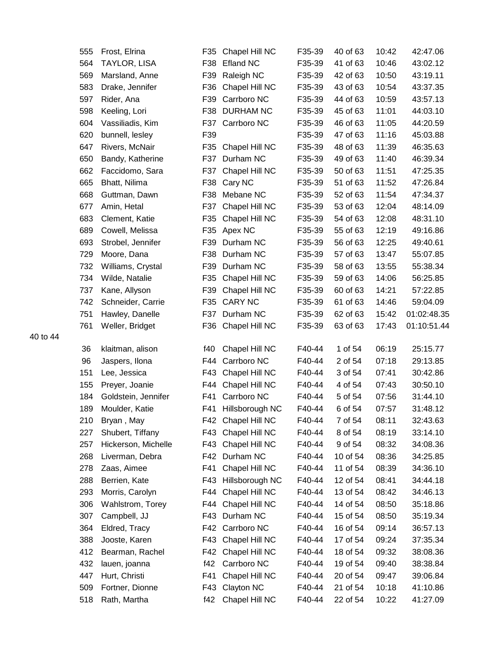| 555        | Frost, Elrina                           | F35             | Chapel Hill NC                        | F35-39           | 40 of 63             | 10:42          | 42:47.06             |
|------------|-----------------------------------------|-----------------|---------------------------------------|------------------|----------------------|----------------|----------------------|
| 564        | TAYLOR, LISA                            | F38             | <b>Efland NC</b>                      | F35-39           | 41 of 63             | 10:46          | 43:02.12             |
| 569        | Marsland, Anne                          | F39             | Raleigh NC                            | F35-39           | 42 of 63             | 10:50          | 43:19.11             |
| 583        | Drake, Jennifer                         | F36             | Chapel Hill NC                        | F35-39           | 43 of 63             | 10:54          | 43:37.35             |
| 597        | Rider, Ana                              | F39             | Carrboro NC                           | F35-39           | 44 of 63             | 10:59          | 43:57.13             |
| 598        | Keeling, Lori                           | F38             | <b>DURHAM NC</b>                      | F35-39           | 45 of 63             | 11:01          | 44:03.10             |
| 604        | Vassiliadis, Kim                        | F37             | Carrboro NC                           | F35-39           | 46 of 63             | 11:05          | 44:20.59             |
| 620        | bunnell, lesley                         | F39             |                                       | F35-39           | 47 of 63             | 11:16          | 45:03.88             |
| 647        | Rivers, McNair                          | F35             | Chapel Hill NC                        | F35-39           | 48 of 63             | 11:39          | 46:35.63             |
| 650        | Bandy, Katherine                        | F37             | Durham NC                             | F35-39           | 49 of 63             | 11:40          | 46:39.34             |
| 662        | Faccidomo, Sara                         | F37             | Chapel Hill NC                        | F35-39           | 50 of 63             | 11:51          | 47:25.35             |
| 665        | Bhatt, Nilima                           | F38             | Cary NC                               | F35-39           | 51 of 63             | 11:52          | 47:26.84             |
| 668        | Guttman, Dawn                           | F38             | Mebane NC                             | F35-39           | 52 of 63             | 11:54          | 47:34.37             |
| 677        | Amin, Hetal                             | F37             | Chapel Hill NC                        | F35-39           | 53 of 63             | 12:04          | 48:14.09             |
| 683        | Clement, Katie                          | F35             | Chapel Hill NC                        | F35-39           | 54 of 63             | 12:08          | 48:31.10             |
| 689        | Cowell, Melissa                         | F35             | Apex NC                               | F35-39           | 55 of 63             | 12:19          | 49:16.86             |
| 693        | Strobel, Jennifer                       | F39             | Durham NC                             | F35-39           | 56 of 63             | 12:25          | 49:40.61             |
| 729        | Moore, Dana                             | F38             | Durham NC                             | F35-39           | 57 of 63             | 13:47          | 55:07.85             |
| 732        | Williams, Crystal                       | F39             | Durham NC                             | F35-39           | 58 of 63             | 13:55          | 55:38.34             |
| 734        | Wilde, Natalie                          | F <sub>35</sub> | Chapel Hill NC                        | F35-39           | 59 of 63             | 14:06          | 56:25.85             |
| 737        | Kane, Allyson                           | F39             | Chapel Hill NC                        | F35-39           | 60 of 63             | 14:21          | 57:22.85             |
| 742        | Schneider, Carrie                       | F35             | <b>CARY NC</b>                        | F35-39           | 61 of 63             | 14:46          | 59:04.09             |
| 751        | Hawley, Danelle                         | F37             | Durham NC                             | F35-39           | 62 of 63             | 15:42          | 01:02:48.35          |
| 761        | Weller, Bridget                         | F36             | Chapel Hill NC                        | F35-39           | 63 of 63             | 17:43          | 01:10:51.44          |
|            |                                         |                 |                                       |                  |                      |                |                      |
| 36         | klaitman, alison                        | f40             | Chapel Hill NC                        | F40-44           | 1 of 54              | 06:19          | 25:15.77             |
| 96         | Jaspers, Ilona                          | F44             | Carrboro NC                           | F40-44           | 2 of 54              | 07:18          | 29:13.85             |
| 151        | Lee, Jessica                            | F43             | Chapel Hill NC                        | F40-44<br>F40-44 | 3 of 54              | 07:41          | 30:42.86             |
| 155        | Preyer, Joanie                          | F44             | Chapel Hill NC                        | F40-44           | 4 of 54<br>5 of 54   | 07:43          | 30:50.10             |
| 184        | Goldstein, Jennifer                     | F41<br>F41      | Carrboro NC                           | F40-44           |                      | 07:56          | 31:44.10<br>31:48.12 |
| 189        | Moulder, Katie                          |                 | Hillsborough NC<br>F42 Chapel Hill NC |                  | 6 of 54<br>7 of 54   | 07:57<br>08:11 | 32:43.63             |
| 210        | Bryan, May                              |                 |                                       | F40-44           | 8 of 54              | 08:19          |                      |
| 227        | Shubert, Tiffany<br>Hickerson, Michelle | F43             | Chapel Hill NC                        | F40-44<br>F40-44 |                      | 08:32          | 33:14.10             |
| 257        |                                         | F43             | Chapel Hill NC<br>Durham NC           | F40-44           | 9 of 54              |                | 34:08.36             |
| 268        | Liverman, Debra                         | F42             | Chapel Hill NC                        |                  | 10 of 54             | 08:36          | 34:25.85             |
| 278        | Zaas, Aimee<br>Berrien, Kate            | F41             |                                       | F40-44<br>F40-44 | 11 of 54             | 08:39          | 34:36.10             |
| 288        |                                         | F43<br>F44      | Hillsborough NC<br>Chapel Hill NC     | F40-44           | 12 of 54<br>13 of 54 | 08:41<br>08:42 | 34:44.18             |
| 293<br>306 | Morris, Carolyn                         | F44             |                                       | F40-44           | 14 of 54             | 08:50          | 34:46.13             |
| 307        | Wahlstrom, Torey                        |                 | Chapel Hill NC<br>Durham NC           |                  | 15 of 54             | 08:50          | 35:18.86             |
|            | Campbell, JJ                            | F43             | Carrboro NC                           | F40-44<br>F40-44 |                      |                | 35:19.34             |
| 364        | Eldred, Tracy                           | F42             |                                       |                  | 16 of 54             | 09:14          | 36:57.13             |
| 388        | Jooste, Karen                           | F43             | Chapel Hill NC                        | F40-44           | 17 of 54             | 09:24          | 37:35.34             |
| 412        | Bearman, Rachel                         | F42             | Chapel Hill NC                        | F40-44           | 18 of 54             | 09:32          | 38:08.36             |
| 432        | lauen, joanna                           | f42             | Carrboro NC                           | F40-44           | 19 of 54             | 09:40          | 38:38.84             |
| 447        | Hurt, Christi                           | F41             | Chapel Hill NC                        | F40-44           | 20 of 54             | 09:47          | 39:06.84             |
| 509        | Fortner, Dionne                         | F43             | Clayton NC                            | F40-44           | 21 of 54             | 10:18          | 41:10.86             |
| 518        | Rath, Martha                            | f42             | Chapel Hill NC                        | F40-44           | 22 of 54             | 10:22          | 41:27.09             |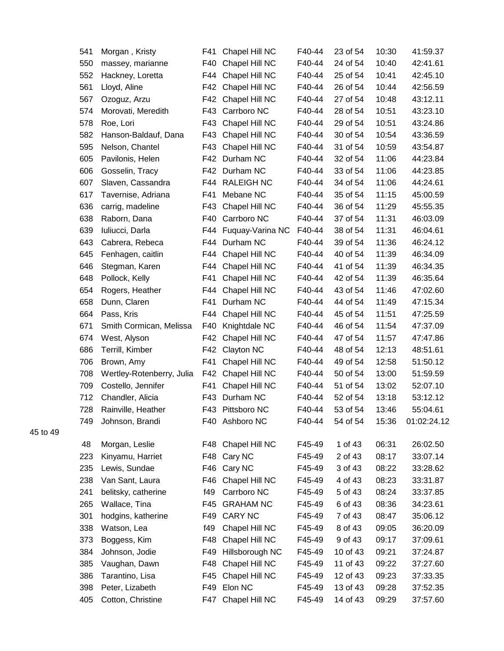| 541 | Morgan, Kristy            | F41 | Chapel Hill NC     | F40-44 | 23 of 54 | 10:30 | 41:59.37    |
|-----|---------------------------|-----|--------------------|--------|----------|-------|-------------|
| 550 | massey, marianne          | F40 | Chapel Hill NC     | F40-44 | 24 of 54 | 10:40 | 42:41.61    |
| 552 | Hackney, Loretta          | F44 | Chapel Hill NC     | F40-44 | 25 of 54 | 10:41 | 42:45.10    |
| 561 | Lloyd, Aline              | F42 | Chapel Hill NC     | F40-44 | 26 of 54 | 10:44 | 42:56.59    |
| 567 | Ozoguz, Arzu              | F42 | Chapel Hill NC     | F40-44 | 27 of 54 | 10:48 | 43:12.11    |
| 574 | Morovati, Meredith        | F43 | Carrboro NC        | F40-44 | 28 of 54 | 10:51 | 43:23.10    |
| 578 | Roe, Lori                 | F43 | Chapel Hill NC     | F40-44 | 29 of 54 | 10:51 | 43:24.86    |
| 582 | Hanson-Baldauf, Dana      | F43 | Chapel Hill NC     | F40-44 | 30 of 54 | 10:54 | 43:36.59    |
| 595 | Nelson, Chantel           | F43 | Chapel Hill NC     | F40-44 | 31 of 54 | 10:59 | 43:54.87    |
| 605 | Pavilonis, Helen          | F42 | Durham NC          | F40-44 | 32 of 54 | 11:06 | 44:23.84    |
| 606 | Gosselin, Tracy           |     | F42 Durham NC      | F40-44 | 33 of 54 | 11:06 | 44:23.85    |
| 607 | Slaven, Cassandra         |     | F44 RALEIGH NC     | F40-44 | 34 of 54 | 11:06 | 44:24.61    |
| 617 | Tavernise, Adriana        | F41 | Mebane NC          | F40-44 | 35 of 54 | 11:15 | 45:00.59    |
| 636 | carrig, madeline          | F43 | Chapel Hill NC     | F40-44 | 36 of 54 | 11:29 | 45:55.35    |
| 638 | Raborn, Dana              | F40 | Carrboro NC        | F40-44 | 37 of 54 | 11:31 | 46:03.09    |
| 639 | Iuliucci, Darla           | F44 | Fuquay-Varina NC   | F40-44 | 38 of 54 | 11:31 | 46:04.61    |
| 643 | Cabrera, Rebeca           | F44 | Durham NC          | F40-44 | 39 of 54 | 11:36 | 46:24.12    |
| 645 | Fenhagen, caitlin         | F44 | Chapel Hill NC     | F40-44 | 40 of 54 | 11:39 | 46:34.09    |
| 646 | Stegman, Karen            | F44 | Chapel Hill NC     | F40-44 | 41 of 54 | 11:39 | 46:34.35    |
| 648 | Pollock, Kelly            | F41 | Chapel Hill NC     | F40-44 | 42 of 54 | 11:39 | 46:35.64    |
| 654 | Rogers, Heather           | F44 | Chapel Hill NC     | F40-44 | 43 of 54 | 11:46 | 47:02.60    |
| 658 | Dunn, Claren              | F41 | Durham NC          | F40-44 | 44 of 54 | 11:49 | 47:15.34    |
| 664 | Pass, Kris                | F44 | Chapel Hill NC     | F40-44 | 45 of 54 | 11:51 | 47:25.59    |
| 671 | Smith Cormican, Melissa   | F40 | Knightdale NC      | F40-44 | 46 of 54 | 11:54 | 47:37.09    |
| 674 | West, Alyson              | F42 | Chapel Hill NC     | F40-44 | 47 of 54 | 11:57 | 47:47.86    |
| 686 | Terrill, Kimber           | F42 | Clayton NC         | F40-44 | 48 of 54 | 12:13 | 48:51.61    |
| 706 | Brown, Amy                | F41 | Chapel Hill NC     | F40-44 | 49 of 54 | 12:58 | 51:50.12    |
| 708 | Wertley-Rotenberry, Julia | F42 | Chapel Hill NC     | F40-44 | 50 of 54 | 13:00 | 51:59.59    |
| 709 | Costello, Jennifer        | F41 | Chapel Hill NC     | F40-44 | 51 of 54 | 13:02 | 52:07.10    |
| 712 | Chandler, Alicia          | F43 | Durham NC          | F40-44 | 52 of 54 | 13:18 | 53:12.12    |
| 728 | Rainville, Heather        |     | F43 Pittsboro NC   | F40-44 | 53 of 54 | 13:46 | 55:04.61    |
| 749 | Johnson, Brandi           | F40 | Ashboro NC         | F40-44 | 54 of 54 | 15:36 | 01:02:24.12 |
| 48  | Morgan, Leslie            | F48 | Chapel Hill NC     | F45-49 | 1 of 43  | 06:31 | 26:02.50    |
| 223 | Kinyamu, Harriet          | F48 | Cary NC            | F45-49 | 2 of 43  | 08:17 | 33:07.14    |
| 235 | Lewis, Sundae             | F46 | Cary NC            | F45-49 | 3 of 43  | 08:22 | 33:28.62    |
| 238 | Van Sant, Laura           | F46 | Chapel Hill NC     | F45-49 | 4 of 43  | 08:23 | 33:31.87    |
| 241 | belitsky, catherine       | f49 | Carrboro NC        | F45-49 | 5 of 43  | 08:24 | 33:37.85    |
| 265 | Wallace, Tina             | F45 | <b>GRAHAM NC</b>   | F45-49 | 6 of 43  | 08:36 | 34:23.61    |
| 301 | hodgins, katherine        | F49 | CARY NC            | F45-49 | 7 of 43  | 08:47 | 35:06.12    |
| 338 | Watson, Lea               | f49 | Chapel Hill NC     | F45-49 | 8 of 43  | 09:05 | 36:20.09    |
| 373 | Boggess, Kim              | F48 | Chapel Hill NC     | F45-49 | 9 of 43  | 09:17 | 37:09.61    |
| 384 | Johnson, Jodie            | F49 | Hillsborough NC    | F45-49 | 10 of 43 | 09:21 | 37:24.87    |
| 385 | Vaughan, Dawn             | F48 | Chapel Hill NC     | F45-49 | 11 of 43 | 09:22 | 37:27.60    |
| 386 | Tarantino, Lisa           | F45 | Chapel Hill NC     | F45-49 | 12 of 43 | 09:23 | 37:33.35    |
| 398 | Peter, Lizabeth           | F49 | Elon NC            | F45-49 | 13 of 43 | 09:28 | 37:52.35    |
| 405 | Cotton, Christine         |     | F47 Chapel Hill NC | F45-49 | 14 of 43 | 09:29 | 37:57.60    |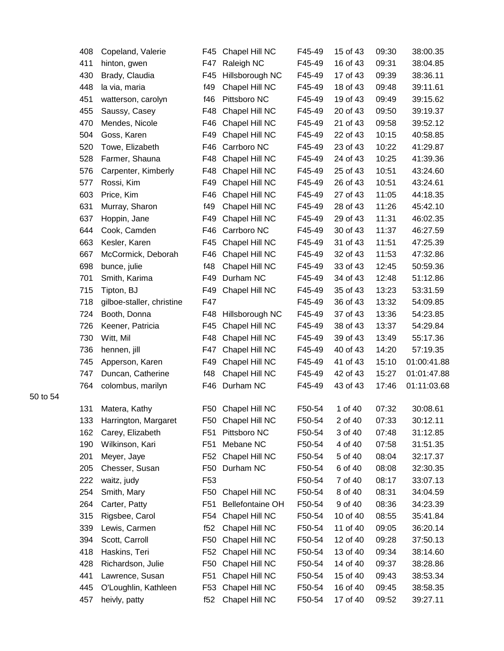| 408 | Copeland, Valerie         | F45             | Chapel Hill NC          | F45-49 | 15 of 43 | 09:30 | 38:00.35    |
|-----|---------------------------|-----------------|-------------------------|--------|----------|-------|-------------|
| 411 | hinton, gwen              | F47             | Raleigh NC              | F45-49 | 16 of 43 | 09:31 | 38:04.85    |
| 430 | Brady, Claudia            | F45             | Hillsborough NC         | F45-49 | 17 of 43 | 09:39 | 38:36.11    |
| 448 | la via, maria             | f49             | Chapel Hill NC          | F45-49 | 18 of 43 | 09:48 | 39:11.61    |
| 451 | watterson, carolyn        | f46             | Pittsboro NC            | F45-49 | 19 of 43 | 09:49 | 39:15.62    |
| 455 | Saussy, Casey             | F48             | Chapel Hill NC          | F45-49 | 20 of 43 | 09:50 | 39:19.37    |
| 470 | Mendes, Nicole            | F46             | Chapel Hill NC          | F45-49 | 21 of 43 | 09:58 | 39:52.12    |
| 504 | Goss, Karen               | F49             | Chapel Hill NC          | F45-49 | 22 of 43 | 10:15 | 40:58.85    |
| 520 | Towe, Elizabeth           | F46             | Carrboro NC             | F45-49 | 23 of 43 | 10:22 | 41:29.87    |
| 528 | Farmer, Shauna            | F48             | Chapel Hill NC          | F45-49 | 24 of 43 | 10:25 | 41:39.36    |
| 576 | Carpenter, Kimberly       | F48             | Chapel Hill NC          | F45-49 | 25 of 43 | 10:51 | 43:24.60    |
| 577 | Rossi, Kim                | F49             | Chapel Hill NC          | F45-49 | 26 of 43 | 10:51 | 43:24.61    |
| 603 | Price, Kim                | F46             | Chapel Hill NC          | F45-49 | 27 of 43 | 11:05 | 44:18.35    |
| 631 | Murray, Sharon            | f49             | Chapel Hill NC          | F45-49 | 28 of 43 | 11:26 | 45:42.10    |
| 637 | Hoppin, Jane              | F49             | Chapel Hill NC          | F45-49 | 29 of 43 | 11:31 | 46:02.35    |
| 644 | Cook, Camden              | F46             | Carrboro NC             | F45-49 | 30 of 43 | 11:37 | 46:27.59    |
| 663 | Kesler, Karen             | F45             | Chapel Hill NC          | F45-49 | 31 of 43 | 11:51 | 47:25.39    |
| 667 | McCormick, Deborah        | F46             | Chapel Hill NC          | F45-49 | 32 of 43 | 11:53 | 47:32.86    |
| 698 | bunce, julie              | f48             | Chapel Hill NC          | F45-49 | 33 of 43 | 12:45 | 50:59.36    |
| 701 | Smith, Karima             | F49             | Durham NC               | F45-49 | 34 of 43 | 12:48 | 51:12.86    |
| 715 | Tipton, BJ                | F49             | Chapel Hill NC          | F45-49 | 35 of 43 | 13:23 | 53:31.59    |
| 718 | gilboe-staller, christine | F47             |                         | F45-49 | 36 of 43 | 13:32 | 54:09.85    |
| 724 | Booth, Donna              | F48             | Hillsborough NC         | F45-49 | 37 of 43 | 13:36 | 54:23.85    |
| 726 | Keener, Patricia          | F45             | Chapel Hill NC          | F45-49 | 38 of 43 | 13:37 | 54:29.84    |
| 730 | Witt, Mil                 | F48             | Chapel Hill NC          | F45-49 | 39 of 43 | 13:49 | 55:17.36    |
| 736 | hennen, jill              | F47             | Chapel Hill NC          | F45-49 | 40 of 43 | 14:20 | 57:19.35    |
| 745 | Apperson, Karen           | F49             | Chapel Hill NC          | F45-49 | 41 of 43 | 15:10 | 01:00:41.88 |
| 747 | Duncan, Catherine         | f48             | Chapel Hill NC          | F45-49 | 42 of 43 | 15:27 | 01:01:47.88 |
| 764 | colombus, marilyn         | F46             | Durham NC               | F45-49 | 43 of 43 | 17:46 | 01:11:03.68 |
| 131 | Matera, Kathy             | F50             | Chapel Hill NC          | F50-54 | 1 of 40  | 07:32 | 30:08.61    |
| 133 | Harrington, Margaret      | F50             | Chapel Hill NC          | F50-54 | 2 of 40  | 07:33 | 30:12.11    |
| 162 | Carey, Elizabeth          | F <sub>51</sub> | Pittsboro NC            | F50-54 | 3 of 40  | 07:48 | 31:12.85    |
| 190 | Wilkinson, Kari           | F <sub>51</sub> | Mebane NC               | F50-54 | 4 of 40  | 07:58 | 31:51.35    |
| 201 | Meyer, Jaye               | F52             | Chapel Hill NC          | F50-54 | 5 of 40  | 08:04 | 32:17.37    |
| 205 | Chesser, Susan            | F50             | Durham NC               | F50-54 | 6 of 40  | 08:08 | 32:30.35    |
| 222 | waitz, judy               | F <sub>53</sub> |                         | F50-54 | 7 of 40  | 08:17 | 33:07.13    |
| 254 | Smith, Mary               | F50             | Chapel Hill NC          | F50-54 | 8 of 40  | 08:31 | 34:04.59    |
| 264 | Carter, Patty             | F <sub>51</sub> | <b>Bellefontaine OH</b> | F50-54 | 9 of 40  | 08:36 | 34:23.39    |
| 315 | Rigsbee, Carol            | F54             | Chapel Hill NC          | F50-54 | 10 of 40 | 08:55 | 35:41.84    |
| 339 | Lewis, Carmen             | f52             | Chapel Hill NC          | F50-54 | 11 of 40 | 09:05 | 36:20.14    |
| 394 | Scott, Carroll            | F50             | Chapel Hill NC          | F50-54 | 12 of 40 | 09:28 | 37:50.13    |
| 418 | Haskins, Teri             | F52             | Chapel Hill NC          | F50-54 | 13 of 40 | 09:34 | 38:14.60    |
| 428 | Richardson, Julie         | F50             | Chapel Hill NC          | F50-54 | 14 of 40 | 09:37 | 38:28.86    |
| 441 | Lawrence, Susan           | F51             | Chapel Hill NC          | F50-54 | 15 of 40 | 09:43 | 38:53.34    |
| 445 | O'Loughlin, Kathleen      | F53             | Chapel Hill NC          | F50-54 | 16 of 40 | 09:45 | 38:58.35    |
| 457 | heivly, patty             | f52             | Chapel Hill NC          | F50-54 | 17 of 40 | 09:52 | 39:27.11    |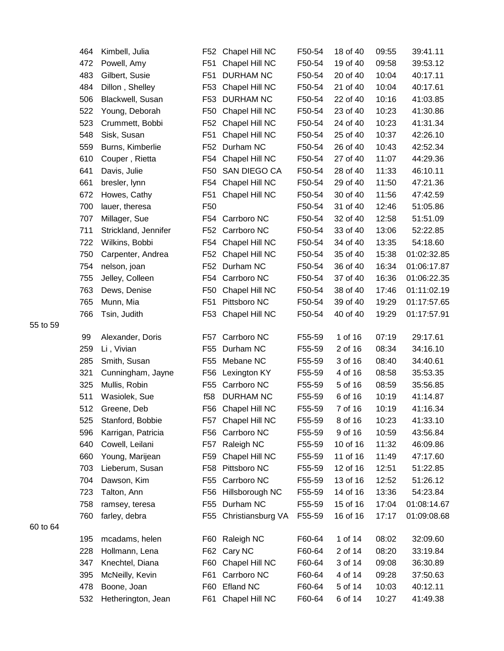| 464 | Kimbell, Julia       | F52             | Chapel Hill NC    | F50-54 | 18 of 40 | 09:55 | 39:41.11    |
|-----|----------------------|-----------------|-------------------|--------|----------|-------|-------------|
| 472 | Powell, Amy          | F <sub>51</sub> | Chapel Hill NC    | F50-54 | 19 of 40 | 09:58 | 39:53.12    |
| 483 | Gilbert, Susie       | F <sub>51</sub> | <b>DURHAM NC</b>  | F50-54 | 20 of 40 | 10:04 | 40:17.11    |
| 484 | Dillon, Shelley      | F53             | Chapel Hill NC    | F50-54 | 21 of 40 | 10:04 | 40:17.61    |
| 506 | Blackwell, Susan     | F <sub>53</sub> | <b>DURHAM NC</b>  | F50-54 | 22 of 40 | 10:16 | 41:03.85    |
| 522 | Young, Deborah       | F50             | Chapel Hill NC    | F50-54 | 23 of 40 | 10:23 | 41:30.86    |
| 523 | Crummett, Bobbi      | F <sub>52</sub> | Chapel Hill NC    | F50-54 | 24 of 40 | 10:23 | 41:31.34    |
| 548 | Sisk, Susan          | F51             | Chapel Hill NC    | F50-54 | 25 of 40 | 10:37 | 42:26.10    |
| 559 | Burns, Kimberlie     | F52             | Durham NC         | F50-54 | 26 of 40 | 10:43 | 42:52.34    |
| 610 | Couper, Rietta       | F54             | Chapel Hill NC    | F50-54 | 27 of 40 | 11:07 | 44:29.36    |
| 641 | Davis, Julie         | F <sub>50</sub> | SAN DIEGO CA      | F50-54 | 28 of 40 | 11:33 | 46:10.11    |
| 661 | bresler, lynn        | F54             | Chapel Hill NC    | F50-54 | 29 of 40 | 11:50 | 47:21.36    |
| 672 | Howes, Cathy         | F51             | Chapel Hill NC    | F50-54 | 30 of 40 | 11:56 | 47:42.59    |
| 700 | lauer, theresa       | F <sub>50</sub> |                   | F50-54 | 31 of 40 | 12:46 | 51:05.86    |
| 707 | Millager, Sue        | F54             | Carrboro NC       | F50-54 | 32 of 40 | 12:58 | 51:51.09    |
| 711 | Strickland, Jennifer | F52             | Carrboro NC       | F50-54 | 33 of 40 | 13:06 | 52:22.85    |
| 722 | Wilkins, Bobbi       | F54             | Chapel Hill NC    | F50-54 | 34 of 40 | 13:35 | 54:18.60    |
| 750 | Carpenter, Andrea    | F52             | Chapel Hill NC    | F50-54 | 35 of 40 | 15:38 | 01:02:32.85 |
| 754 | nelson, joan         | F <sub>52</sub> | Durham NC         | F50-54 | 36 of 40 | 16:34 | 01:06:17.87 |
| 755 | Jelley, Colleen      | F54             | Carrboro NC       | F50-54 | 37 of 40 | 16:36 | 01:06:22.35 |
| 763 | Dews, Denise         | F50             | Chapel Hill NC    | F50-54 | 38 of 40 | 17:46 | 01:11:02.19 |
| 765 | Munn, Mia            | F <sub>51</sub> | Pittsboro NC      | F50-54 | 39 of 40 | 19:29 | 01:17:57.65 |
| 766 | Tsin, Judith         | F53             | Chapel Hill NC    | F50-54 | 40 of 40 | 19:29 | 01:17:57.91 |
| 99  | Alexander, Doris     | F57             | Carrboro NC       | F55-59 | 1 of 16  | 07:19 | 29:17.61    |
| 259 | Li, Vivian           | F <sub>55</sub> | Durham NC         | F55-59 | 2 of 16  | 08:34 | 34:16.10    |
| 285 | Smith, Susan         | F <sub>55</sub> | Mebane NC         | F55-59 | 3 of 16  | 08:40 | 34:40.61    |
| 321 | Cunningham, Jayne    | F56             | Lexington KY      | F55-59 | 4 of 16  | 08:58 | 35:53.35    |
| 325 | Mullis, Robin        | F <sub>55</sub> | Carrboro NC       | F55-59 | 5 of 16  | 08:59 | 35:56.85    |
| 511 | Wasiolek, Sue        | f58             | <b>DURHAM NC</b>  | F55-59 | 6 of 16  | 10:19 | 41:14.87    |
| 512 | Greene, Deb          | F56             | Chapel Hill NC    | F55-59 | 7 of 16  | 10:19 | 41:16.34    |
| 525 | Stanford, Bobbie     | F57             | Chapel Hill NC    | F55-59 | 8 of 16  | 10:23 | 41:33.10    |
| 596 | Karrigan, Patricia   | F56             | Carrboro NC       | F55-59 | 9 of 16  | 10:59 | 43:56.84    |
| 640 | Cowell, Leilani      | F <sub>57</sub> | Raleigh NC        | F55-59 | 10 of 16 | 11:32 | 46:09.86    |
| 660 | Young, Marijean      | F59             | Chapel Hill NC    | F55-59 | 11 of 16 | 11:49 | 47:17.60    |
| 703 | Lieberum, Susan      | F <sub>58</sub> | Pittsboro NC      | F55-59 | 12 of 16 | 12:51 | 51:22.85    |
| 704 | Dawson, Kim          | F55             | Carrboro NC       | F55-59 | 13 of 16 | 12:52 | 51:26.12    |
| 723 | Talton, Ann          | F <sub>56</sub> | Hillsborough NC   | F55-59 | 14 of 16 | 13:36 | 54:23.84    |
| 758 | ramsey, teresa       | F <sub>55</sub> | Durham NC         | F55-59 | 15 of 16 | 17:04 | 01:08:14.67 |
| 760 | farley, debra        | F55             | Christiansburg VA | F55-59 | 16 of 16 | 17:17 | 01:09:08.68 |
| 195 | mcadams, helen       | F60             | Raleigh NC        | F60-64 | 1 of 14  | 08:02 | 32:09.60    |
| 228 | Hollmann, Lena       | F62             | Cary NC           | F60-64 | 2 of 14  | 08:20 | 33:19.84    |
| 347 | Knechtel, Diana      | F60             | Chapel Hill NC    | F60-64 | 3 of 14  | 09:08 | 36:30.89    |
| 395 | McNeilly, Kevin      | F61             | Carrboro NC       | F60-64 | 4 of 14  | 09:28 | 37:50.63    |
| 478 | Boone, Joan          | F60             | Efland NC         | F60-64 | 5 of 14  | 10:03 | 40:12.11    |
| 532 | Hetherington, Jean   | F61             | Chapel Hill NC    | F60-64 | 6 of 14  | 10:27 | 41:49.38    |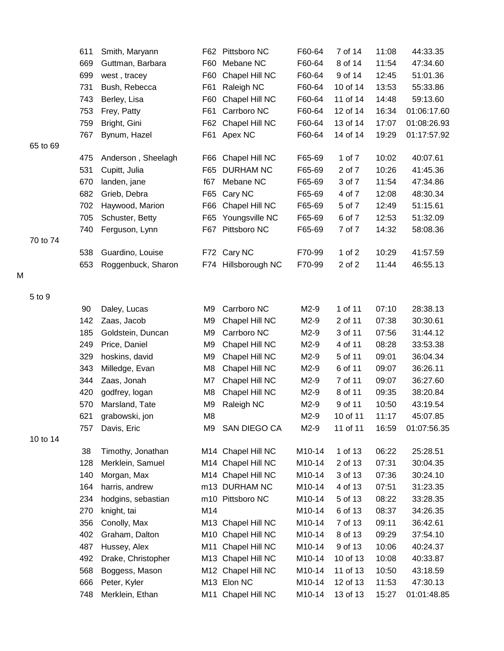|   |          | 611 | Smith, Maryann     |                | F62 Pittsboro NC    | F60-64 | 7 of 14  | 11:08 | 44:33.35    |
|---|----------|-----|--------------------|----------------|---------------------|--------|----------|-------|-------------|
|   |          | 669 | Guttman, Barbara   | F60            | Mebane NC           | F60-64 | 8 of 14  | 11:54 | 47:34.60    |
|   |          | 699 | west, tracey       | F60            | Chapel Hill NC      | F60-64 | 9 of 14  | 12:45 | 51:01.36    |
|   |          | 731 | Bush, Rebecca      | F61            | Raleigh NC          | F60-64 | 10 of 14 | 13:53 | 55:33.86    |
|   |          | 743 | Berley, Lisa       | F60            | Chapel Hill NC      | F60-64 | 11 of 14 | 14:48 | 59:13.60    |
|   |          | 753 | Frey, Patty        | F61            | Carrboro NC         | F60-64 | 12 of 14 | 16:34 | 01:06:17.60 |
|   |          | 759 | Bright, Gini       | F62            | Chapel Hill NC      | F60-64 | 13 of 14 | 17:07 | 01:08:26.93 |
|   |          | 767 | Bynum, Hazel       |                | F61 Apex NC         | F60-64 | 14 of 14 | 19:29 | 01:17:57.92 |
|   | 65 to 69 |     |                    |                |                     |        |          |       |             |
|   |          | 475 | Anderson, Sheelagh | F66            | Chapel Hill NC      | F65-69 | 1 of 7   | 10:02 | 40:07.61    |
|   |          | 531 | Cupitt, Julia      | F65            | <b>DURHAM NC</b>    | F65-69 | 2 of 7   | 10:26 | 41:45.36    |
|   |          | 670 | landen, jane       | f67            | Mebane NC           | F65-69 | 3 of 7   | 11:54 | 47:34.86    |
|   |          | 682 | Grieb, Debra       | F65            | Cary NC             | F65-69 | 4 of 7   | 12:08 | 48:30.34    |
|   |          | 702 | Haywood, Marion    | F66            | Chapel Hill NC      | F65-69 | 5 of 7   | 12:49 | 51:15.61    |
|   |          | 705 | Schuster, Betty    | F65            | Youngsville NC      | F65-69 | 6 of 7   | 12:53 | 51:32.09    |
|   |          | 740 | Ferguson, Lynn     |                | F67 Pittsboro NC    | F65-69 | 7 of 7   | 14:32 | 58:08.36    |
|   | 70 to 74 |     |                    |                |                     |        |          |       |             |
|   |          | 538 | Guardino, Louise   |                | F72 Cary NC         | F70-99 | 1 of $2$ | 10:29 | 41:57.59    |
|   |          | 653 | Roggenbuck, Sharon |                | F74 Hillsborough NC | F70-99 | 2 of 2   | 11:44 | 46:55.13    |
| M |          |     |                    |                |                     |        |          |       |             |
|   | 5 to 9   |     |                    |                |                     |        |          |       |             |
|   |          | 90  | Daley, Lucas       | M9             | Carrboro NC         | M2-9   | 1 of 11  | 07:10 | 28:38.13    |
|   |          | 142 | Zaas, Jacob        | M <sub>9</sub> | Chapel Hill NC      | M2-9   | 2 of 11  | 07:38 | 30:30.61    |
|   |          | 185 | Goldstein, Duncan  | M9             | Carrboro NC         | M2-9   | 3 of 11  | 07:56 | 31:44.12    |
|   |          | 249 | Price, Daniel      | M <sub>9</sub> | Chapel Hill NC      | M2-9   | 4 of 11  | 08:28 | 33:53.38    |
|   |          | 329 | hoskins, david     | M <sub>9</sub> | Chapel Hill NC      | M2-9   | 5 of 11  | 09:01 | 36:04.34    |
|   |          | 343 | Milledge, Evan     | M <sub>8</sub> | Chapel Hill NC      | M2-9   | 6 of 11  | 09:07 | 36:26.11    |
|   |          | 344 | Zaas, Jonah        | M7             | Chapel Hill NC      | M2-9   | 7 of 11  | 09:07 | 36:27.60    |
|   |          | 420 | godfrey, logan     | M <sub>8</sub> | Chapel Hill NC      | M2-9   | 8 of 11  | 09:35 | 38:20.84    |
|   |          | 570 | Marsland, Tate     | M9             | Raleigh NC          | M2-9   | 9 of 11  | 10:50 | 43:19.54    |
|   |          | 621 | grabowski, jon     | M <sub>8</sub> |                     | M2-9   | 10 of 11 | 11:17 | 45:07.85    |
|   |          | 757 | Davis, Eric        | M9             | SAN DIEGO CA        | M2-9   | 11 of 11 | 16:59 | 01:07:56.35 |
|   | 10 to 14 |     |                    |                |                     |        |          |       |             |
|   |          | 38  | Timothy, Jonathan  |                | M14 Chapel Hill NC  | M10-14 | 1 of 13  | 06:22 | 25:28.51    |
|   |          | 128 | Merklein, Samuel   |                | M14 Chapel Hill NC  | M10-14 | 2 of 13  | 07:31 | 30:04.35    |
|   |          | 140 | Morgan, Max        |                | M14 Chapel Hill NC  | M10-14 | 3 of 13  | 07:36 | 30:24.10    |
|   |          | 164 | harris, andrew     |                | m13 DURHAM NC       | M10-14 | 4 of 13  | 07:51 | 31:23.35    |
|   |          | 234 | hodgins, sebastian |                | m10 Pittsboro NC    | M10-14 | 5 of 13  | 08:22 | 33:28.35    |
|   |          | 270 | knight, tai        | M14            |                     | M10-14 | 6 of 13  | 08:37 | 34:26.35    |
|   |          | 356 | Conolly, Max       |                | M13 Chapel Hill NC  | M10-14 | 7 of 13  | 09:11 | 36:42.61    |
|   |          | 402 | Graham, Dalton     | M10            | Chapel Hill NC      | M10-14 | 8 of 13  | 09:29 | 37:54.10    |
|   |          | 487 | Hussey, Alex       | M11            | Chapel Hill NC      | M10-14 | 9 of 13  | 10:06 | 40:24.37    |
|   |          | 492 | Drake, Christopher | M13            | Chapel Hill NC      | M10-14 | 10 of 13 | 10:08 | 40:33.87    |
|   |          | 568 | Boggess, Mason     |                | M12 Chapel Hill NC  | M10-14 | 11 of 13 | 10:50 | 43:18.59    |
|   |          | 666 | Peter, Kyler       |                | M13 Elon NC         | M10-14 | 12 of 13 | 11:53 | 47:30.13    |
|   |          | 748 | Merklein, Ethan    | M11            | Chapel Hill NC      | M10-14 | 13 of 13 | 15:27 | 01:01:48.85 |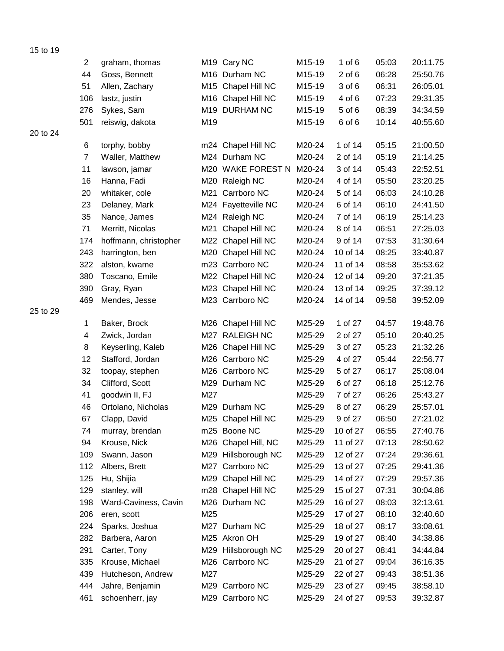|          | $\overline{c}$ | graham, thomas        |     | M <sub>19</sub> Cary NC | M15-19 | 1 of $6$   | 05:03 | 20:11.75 |
|----------|----------------|-----------------------|-----|-------------------------|--------|------------|-------|----------|
|          | 44             | Goss, Bennett         |     | M16 Durham NC           | M15-19 | $2$ of $6$ | 06:28 | 25:50.76 |
|          | 51             | Allen, Zachary        |     | M15 Chapel Hill NC      | M15-19 | 3 of 6     | 06:31 | 26:05.01 |
|          | 106            | lastz, justin         |     | M16 Chapel Hill NC      | M15-19 | 4 of 6     | 07:23 | 29:31.35 |
|          | 276            | Sykes, Sam            |     | M19 DURHAM NC           | M15-19 | 5 of 6     | 08:39 | 34:34.59 |
|          | 501            | reiswig, dakota       | M19 |                         | M15-19 | 6 of 6     | 10:14 | 40:55.60 |
| 20 to 24 |                |                       |     |                         |        |            |       |          |
|          | 6              | torphy, bobby         |     | m24 Chapel Hill NC      | M20-24 | 1 of 14    | 05:15 | 21:00.50 |
|          | $\overline{7}$ | Waller, Matthew       |     | M24 Durham NC           | M20-24 | 2 of 14    | 05:19 | 21:14.25 |
|          | 11             | lawson, jamar         |     | M20 WAKE FOREST N       | M20-24 | 3 of 14    | 05:43 | 22:52.51 |
|          | 16             | Hanna, Fadi           |     | M20 Raleigh NC          | M20-24 | 4 of 14    | 05:50 | 23:20.25 |
|          | 20             | whitaker, cole        |     | M21 Carrboro NC         | M20-24 | 5 of 14    | 06:03 | 24:10.28 |
|          | 23             | Delaney, Mark         |     | M24 Fayetteville NC     | M20-24 | 6 of 14    | 06:10 | 24:41.50 |
|          | 35             | Nance, James          |     | M24 Raleigh NC          | M20-24 | 7 of 14    | 06:19 | 25:14.23 |
|          | 71             | Merritt, Nicolas      | M21 | Chapel Hill NC          | M20-24 | 8 of 14    | 06:51 | 27:25.03 |
|          | 174            | hoffmann, christopher |     | M22 Chapel Hill NC      | M20-24 | 9 of 14    | 07:53 | 31:30.64 |
|          | 243            | harrington, ben       |     | M20 Chapel Hill NC      | M20-24 | 10 of 14   | 08:25 | 33:40.87 |
|          | 322            | alston, kwame         |     | m23 Carrboro NC         | M20-24 | 11 of 14   | 08:58 | 35:53.62 |
|          | 380            | Toscano, Emile        |     | M22 Chapel Hill NC      | M20-24 | 12 of 14   | 09:20 | 37:21.35 |
|          | 390            | Gray, Ryan            |     | M23 Chapel Hill NC      | M20-24 | 13 of 14   | 09:25 | 37:39.12 |
|          | 469            | Mendes, Jesse         |     | M23 Carrboro NC         | M20-24 | 14 of 14   | 09:58 | 39:52.09 |
| 25 to 29 |                |                       |     |                         |        |            |       |          |
|          | 1              | Baker, Brock          |     | M26 Chapel Hill NC      | M25-29 | 1 of 27    | 04:57 | 19:48.76 |
|          | 4              | Zwick, Jordan         |     | M27 RALEIGH NC          | M25-29 | 2 of 27    | 05:10 | 20:40.25 |
|          | 8              | Keyserling, Kaleb     |     | M26 Chapel Hill NC      | M25-29 | 3 of 27    | 05:23 | 21:32.26 |
|          | 12             | Stafford, Jordan      |     | M26 Carrboro NC         | M25-29 | 4 of 27    | 05:44 | 22:56.77 |
|          | 32             | toopay, stephen       |     | M26 Carrboro NC         | M25-29 | 5 of 27    | 06:17 | 25:08.04 |
|          | 34             | Clifford, Scott       |     | M29 Durham NC           | M25-29 | 6 of 27    | 06:18 | 25:12.76 |
|          | 41             | goodwin II, FJ        | M27 |                         | M25-29 | 7 of 27    | 06:26 | 25:43.27 |
|          | 46             | Ortolano, Nicholas    | M29 | Durham NC               | M25-29 | 8 of 27    | 06:29 | 25:57.01 |
|          | 67             | Clapp, David          |     | M25 Chapel Hill NC      | M25-29 | 9 of 27    | 06:50 | 27:21.02 |
|          | 74             | murray, brendan       |     | m25 Boone NC            | M25-29 | 10 of 27   | 06:55 | 27:40.76 |
|          | 94             | Krouse, Nick          |     | M26 Chapel Hill, NC     | M25-29 | 11 of 27   | 07:13 | 28:50.62 |
|          | 109            | Swann, Jason          |     | M29 Hillsborough NC     | M25-29 | 12 of 27   | 07:24 | 29:36.61 |
|          | 112            | Albers, Brett         |     | M27 Carrboro NC         | M25-29 | 13 of 27   | 07:25 | 29:41.36 |
|          | 125            | Hu, Shijia            |     | M29 Chapel Hill NC      | M25-29 | 14 of 27   | 07:29 | 29:57.36 |
|          | 129            | stanley, will         |     | m28 Chapel Hill NC      | M25-29 | 15 of 27   | 07:31 | 30:04.86 |
|          | 198            | Ward-Caviness, Cavin  |     | M26 Durham NC           | M25-29 | 16 of 27   | 08:03 | 32:13.61 |
|          | 206            | eren, scott           | M25 |                         | M25-29 | 17 of 27   | 08:10 | 32:40.60 |
|          | 224            | Sparks, Joshua        |     | M27 Durham NC           | M25-29 | 18 of 27   | 08:17 | 33:08.61 |
|          | 282            | Barbera, Aaron        |     | M25 Akron OH            | M25-29 | 19 of 27   | 08:40 | 34:38.86 |
|          | 291            | Carter, Tony          |     | M29 Hillsborough NC     | M25-29 | 20 of 27   | 08:41 | 34:44.84 |
|          | 335            | Krouse, Michael       |     | M26 Carrboro NC         | M25-29 | 21 of 27   | 09:04 | 36:16.35 |
|          | 439            | Hutcheson, Andrew     | M27 |                         | M25-29 | 22 of 27   | 09:43 | 38:51.36 |
|          | 444            | Jahre, Benjamin       |     | M29 Carrboro NC         | M25-29 | 23 of 27   | 09:45 | 38:58.10 |
|          | 461            | schoenherr, jay       |     | M29 Carrboro NC         | M25-29 | 24 of 27   | 09:53 | 39:32.87 |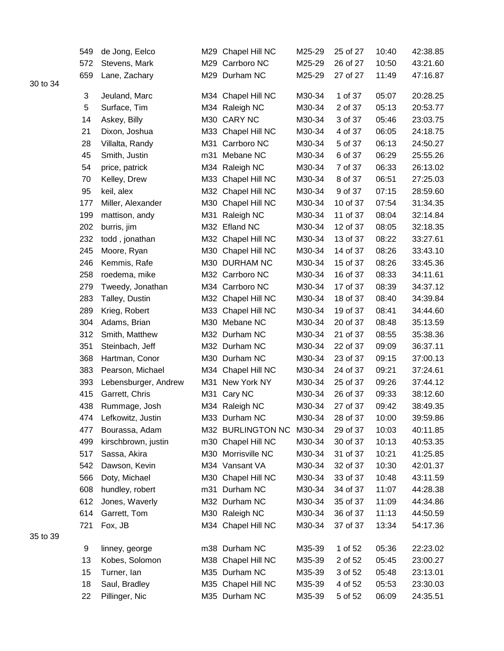|          | 549 | de Jong, Eelco       |     | M29 Chapel Hill NC | M25-29 | 25 of 27 | 10:40 | 42:38.85 |
|----------|-----|----------------------|-----|--------------------|--------|----------|-------|----------|
|          | 572 | Stevens, Mark        |     | M29 Carrboro NC    | M25-29 | 26 of 27 | 10:50 | 43:21.60 |
|          | 659 | Lane, Zachary        |     | M29 Durham NC      | M25-29 | 27 of 27 | 11:49 | 47:16.87 |
| 30 to 34 |     |                      |     |                    |        |          |       |          |
|          | 3   | Jeuland, Marc        |     | M34 Chapel Hill NC | M30-34 | 1 of 37  | 05:07 | 20:28.25 |
|          | 5   | Surface, Tim         |     | M34 Raleigh NC     | M30-34 | 2 of 37  | 05:13 | 20:53.77 |
|          | 14  | Askey, Billy         | M30 | <b>CARY NC</b>     | M30-34 | 3 of 37  | 05:46 | 23:03.75 |
|          | 21  | Dixon, Joshua        |     | M33 Chapel Hill NC | M30-34 | 4 of 37  | 06:05 | 24:18.75 |
|          | 28  | Villalta, Randy      | M31 | Carrboro NC        | M30-34 | 5 of 37  | 06:13 | 24:50.27 |
|          | 45  | Smith, Justin        | m31 | Mebane NC          | M30-34 | 6 of 37  | 06:29 | 25:55.26 |
|          | 54  | price, patrick       |     | M34 Raleigh NC     | M30-34 | 7 of 37  | 06:33 | 26:13.02 |
|          | 70  | Kelley, Drew         |     | M33 Chapel Hill NC | M30-34 | 8 of 37  | 06:51 | 27:25.03 |
|          | 95  | keil, alex           |     | M32 Chapel Hill NC | M30-34 | 9 of 37  | 07:15 | 28:59.60 |
|          | 177 | Miller, Alexander    |     | M30 Chapel Hill NC | M30-34 | 10 of 37 | 07:54 | 31:34.35 |
|          | 199 | mattison, andy       | M31 | Raleigh NC         | M30-34 | 11 of 37 | 08:04 | 32:14.84 |
|          | 202 | burris, jim          |     | M32 Efland NC      | M30-34 | 12 of 37 | 08:05 | 32:18.35 |
|          | 232 | todd, jonathan       |     | M32 Chapel Hill NC | M30-34 | 13 of 37 | 08:22 | 33:27.61 |
|          | 245 | Moore, Ryan          |     | M30 Chapel Hill NC | M30-34 | 14 of 37 | 08:26 | 33:43.10 |
|          | 246 | Kemmis, Rafe         |     | M30 DURHAM NC      | M30-34 | 15 of 37 | 08:26 | 33:45.36 |
|          | 258 | roedema, mike        |     | M32 Carrboro NC    | M30-34 | 16 of 37 | 08:33 | 34:11.61 |
|          | 279 | Tweedy, Jonathan     |     | M34 Carrboro NC    | M30-34 | 17 of 37 | 08:39 | 34:37.12 |
|          | 283 | Talley, Dustin       |     | M32 Chapel Hill NC | M30-34 | 18 of 37 | 08:40 | 34:39.84 |
|          | 289 | Krieg, Robert        |     | M33 Chapel Hill NC | M30-34 | 19 of 37 | 08:41 | 34:44.60 |
|          | 304 | Adams, Brian         |     | M30 Mebane NC      | M30-34 | 20 of 37 | 08:48 | 35:13.59 |
|          | 312 | Smith, Matthew       |     | M32 Durham NC      | M30-34 | 21 of 37 | 08:55 | 35:38.36 |
|          | 351 | Steinbach, Jeff      |     | M32 Durham NC      | M30-34 | 22 of 37 | 09:09 | 36:37.11 |
|          | 368 | Hartman, Conor       |     | M30 Durham NC      | M30-34 | 23 of 37 | 09:15 | 37:00.13 |
|          | 383 | Pearson, Michael     |     | M34 Chapel Hill NC | M30-34 | 24 of 37 | 09:21 | 37:24.61 |
|          | 393 | Lebensburger, Andrew |     | M31 New York NY    | M30-34 | 25 of 37 | 09:26 | 37:44.12 |
|          | 415 | Garrett, Chris       |     | M31 Cary NC        | M30-34 | 26 of 37 | 09:33 | 38:12.60 |
|          | 438 | Rummage, Josh        |     | M34 Raleigh NC     | M30-34 | 27 of 37 | 09:42 | 38:49.35 |
|          | 474 | Lefkowitz, Justin    |     | M33 Durham NC      | M30-34 | 28 of 37 | 10:00 | 39:59.86 |
|          | 477 | Bourassa, Adam       |     | M32 BURLINGTON NC  | M30-34 | 29 of 37 | 10:03 | 40:11.85 |
|          | 499 | kirschbrown, justin  |     | m30 Chapel Hill NC | M30-34 | 30 of 37 | 10:13 | 40:53.35 |
|          | 517 | Sassa, Akira         | M30 | Morrisville NC     | M30-34 | 31 of 37 | 10:21 | 41:25.85 |
|          | 542 | Dawson, Kevin        |     | M34 Vansant VA     | M30-34 | 32 of 37 | 10:30 | 42:01.37 |
|          | 566 | Doty, Michael        |     | M30 Chapel Hill NC | M30-34 | 33 of 37 | 10:48 | 43:11.59 |
|          | 608 | hundley, robert      | m31 | Durham NC          | M30-34 | 34 of 37 | 11:07 | 44:28.38 |
|          | 612 | Jones, Waverly       |     | M32 Durham NC      | M30-34 | 35 of 37 | 11:09 | 44:34.86 |
|          | 614 | Garrett, Tom         |     | M30 Raleigh NC     | M30-34 | 36 of 37 | 11:13 | 44:50.59 |
|          | 721 | Fox, JB              |     | M34 Chapel Hill NC | M30-34 | 37 of 37 | 13:34 | 54:17.36 |
| 35 to 39 |     |                      |     |                    |        |          |       |          |
|          | 9   | linney, george       |     | m38 Durham NC      | M35-39 | 1 of 52  | 05:36 | 22:23.02 |
|          | 13  | Kobes, Solomon       |     | M38 Chapel Hill NC | M35-39 | 2 of 52  | 05:45 | 23:00.27 |
|          | 15  | Turner, lan          |     | M35 Durham NC      | M35-39 | 3 of 52  | 05:48 | 23:13.01 |
|          | 18  | Saul, Bradley        |     | M35 Chapel Hill NC | M35-39 | 4 of 52  | 05:53 | 23:30.03 |
|          | 22  | Pillinger, Nic       |     | M35 Durham NC      | M35-39 | 5 of 52  | 06:09 | 24:35.51 |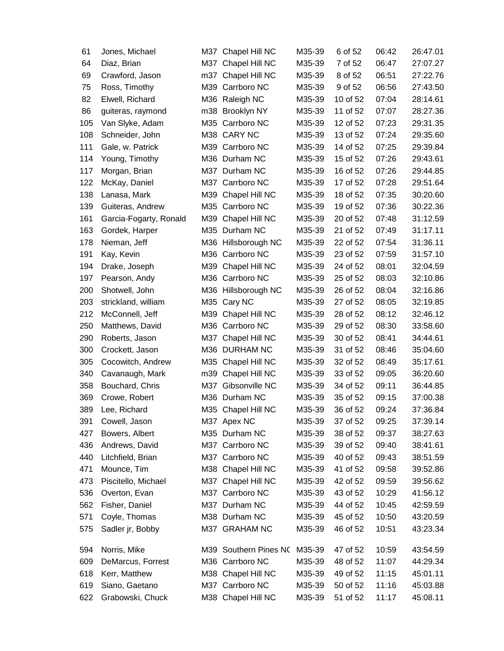| 61  | Jones, Michael         | M37 | Chapel Hill NC        | M35-39 | 6 of 52  | 06:42 | 26:47.01 |
|-----|------------------------|-----|-----------------------|--------|----------|-------|----------|
| 64  | Diaz, Brian            |     | M37 Chapel Hill NC    | M35-39 | 7 of 52  | 06:47 | 27:07.27 |
| 69  | Crawford, Jason        | m37 | Chapel Hill NC        | M35-39 | 8 of 52  | 06:51 | 27:22.76 |
| 75  | Ross, Timothy          | M39 | Carrboro NC           | M35-39 | 9 of 52  | 06:56 | 27:43.50 |
| 82  | Elwell, Richard        | M36 | Raleigh NC            | M35-39 | 10 of 52 | 07:04 | 28:14.61 |
| 86  | guiteras, raymond      | m38 | <b>Brooklyn NY</b>    | M35-39 | 11 of 52 | 07:07 | 28:27.36 |
| 105 | Van Slyke, Adam        |     | M35 Carrboro NC       | M35-39 | 12 of 52 | 07:23 | 29:31.35 |
| 108 | Schneider, John        |     | M38 CARY NC           | M35-39 | 13 of 52 | 07:24 | 29:35.60 |
| 111 | Gale, w. Patrick       |     | M39 Carrboro NC       | M35-39 | 14 of 52 | 07:25 | 29:39.84 |
| 114 | Young, Timothy         |     | M36 Durham NC         | M35-39 | 15 of 52 | 07:26 | 29:43.61 |
| 117 | Morgan, Brian          |     | M37 Durham NC         | M35-39 | 16 of 52 | 07:26 | 29:44.85 |
| 122 | McKay, Daniel          | M37 | Carrboro NC           | M35-39 | 17 of 52 | 07:28 | 29:51.64 |
| 138 | Lanasa, Mark           | M39 | Chapel Hill NC        | M35-39 | 18 of 52 | 07:35 | 30:20.60 |
| 139 | Guiteras, Andrew       |     | M35 Carrboro NC       | M35-39 | 19 of 52 | 07:36 | 30:22.36 |
| 161 | Garcia-Fogarty, Ronald | M39 | Chapel Hill NC        | M35-39 | 20 of 52 | 07:48 | 31:12.59 |
| 163 | Gordek, Harper         | M35 | Durham NC             | M35-39 | 21 of 52 | 07:49 | 31:17.11 |
| 178 | Nieman, Jeff           |     | M36 Hillsborough NC   | M35-39 | 22 of 52 | 07:54 | 31:36.11 |
| 191 | Kay, Kevin             |     | M36 Carrboro NC       | M35-39 | 23 of 52 | 07:59 | 31:57.10 |
| 194 | Drake, Joseph          | M39 | Chapel Hill NC        | M35-39 | 24 of 52 | 08:01 | 32:04.59 |
| 197 | Pearson, Andy          |     | M36 Carrboro NC       | M35-39 | 25 of 52 | 08:03 | 32:10.86 |
| 200 | Shotwell, John         |     | M36 Hillsborough NC   | M35-39 | 26 of 52 | 08:04 | 32:16.86 |
| 203 | strickland, william    |     | M35 Cary NC           | M35-39 | 27 of 52 | 08:05 | 32:19.85 |
| 212 | McConnell, Jeff        | M39 | Chapel Hill NC        | M35-39 | 28 of 52 | 08:12 | 32:46.12 |
| 250 | Matthews, David        | M36 | Carrboro NC           | M35-39 | 29 of 52 | 08:30 | 33:58.60 |
| 290 | Roberts, Jason         | M37 | Chapel Hill NC        | M35-39 | 30 of 52 | 08:41 | 34:44.61 |
| 300 | Crockett, Jason        |     | M36 DURHAM NC         | M35-39 | 31 of 52 | 08:46 | 35:04.60 |
| 305 | Cocowitch, Andrew      | M35 | Chapel Hill NC        | M35-39 | 32 of 52 | 08:49 | 35:17.61 |
| 340 | Cavanaugh, Mark        | m39 | Chapel Hill NC        | M35-39 | 33 of 52 | 09:05 | 36:20.60 |
| 358 | Bouchard, Chris        | M37 | Gibsonville NC        | M35-39 | 34 of 52 | 09:11 | 36:44.85 |
| 369 | Crowe, Robert          | M36 | Durham NC             | M35-39 | 35 of 52 | 09:15 | 37:00.38 |
| 389 | Lee, Richard           |     | M35 Chapel Hill NC    | M35-39 | 36 of 52 | 09:24 | 37:36.84 |
| 391 | Cowell, Jason          |     | M37 Apex NC           | M35-39 | 37 of 52 | 09:25 | 37:39.14 |
| 427 | Bowers, Albert         |     | M35 Durham NC         | M35-39 | 38 of 52 | 09:37 | 38:27.63 |
| 436 | Andrews, David         |     | M37 Carrboro NC       | M35-39 | 39 of 52 | 09:40 | 38:41.61 |
| 440 | Litchfield, Brian      |     | M37 Carrboro NC       | M35-39 | 40 of 52 | 09:43 | 38:51.59 |
| 471 | Mounce, Tim            |     | M38 Chapel Hill NC    | M35-39 | 41 of 52 | 09:58 | 39:52.86 |
| 473 | Piscitello, Michael    |     | M37 Chapel Hill NC    | M35-39 | 42 of 52 | 09:59 | 39:56.62 |
| 536 | Overton, Evan          |     | M37 Carrboro NC       | M35-39 | 43 of 52 | 10:29 | 41:56.12 |
| 562 | Fisher, Daniel         |     | M37 Durham NC         | M35-39 | 44 of 52 | 10:45 | 42:59.59 |
| 571 | Coyle, Thomas          |     | M38 Durham NC         | M35-39 | 45 of 52 | 10:50 | 43:20.59 |
| 575 | Sadler jr, Bobby       |     | M37 GRAHAM NC         | M35-39 | 46 of 52 | 10:51 | 43:23.34 |
| 594 | Norris, Mike           |     | M39 Southern Pines NO | M35-39 | 47 of 52 | 10:59 | 43:54.59 |
| 609 | DeMarcus, Forrest      |     | M36 Carrboro NC       | M35-39 | 48 of 52 | 11:07 | 44:29.34 |
| 618 | Kerr, Matthew          |     | M38 Chapel Hill NC    | M35-39 | 49 of 52 | 11:15 | 45:01.11 |
| 619 | Siano, Gaetano         |     | M37 Carrboro NC       | M35-39 | 50 of 52 | 11:16 | 45:03.88 |
| 622 | Grabowski, Chuck       |     | M38 Chapel Hill NC    | M35-39 | 51 of 52 | 11:17 | 45:08.11 |
|     |                        |     |                       |        |          |       |          |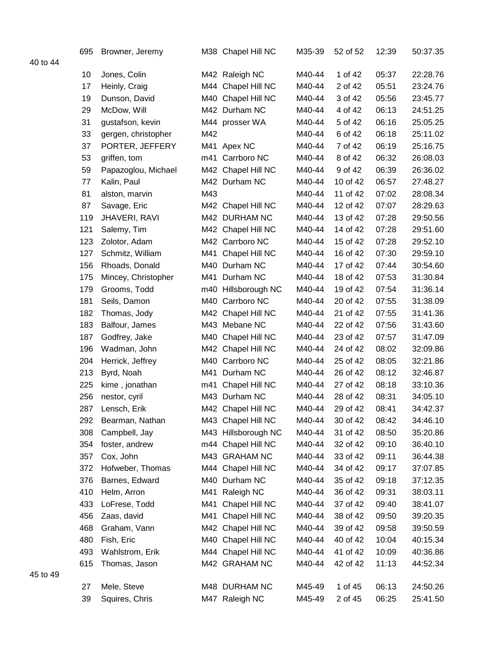|          | 695 | Browner, Jeremy     |     | M38 Chapel Hill NC  | M35-39 | 52 of 52 | 12:39 | 50:37.35 |
|----------|-----|---------------------|-----|---------------------|--------|----------|-------|----------|
| 40 to 44 |     |                     |     |                     |        |          |       |          |
|          | 10  | Jones, Colin        |     | M42 Raleigh NC      | M40-44 | 1 of 42  | 05:37 | 22:28.76 |
|          | 17  | Heinly, Craig       | M44 | Chapel Hill NC      | M40-44 | 2 of 42  | 05:51 | 23:24.76 |
|          | 19  | Dunson, David       | M40 | Chapel Hill NC      | M40-44 | 3 of 42  | 05:56 | 23:45.77 |
|          | 29  | McDow, Will         |     | M42 Durham NC       | M40-44 | 4 of 42  | 06:13 | 24:51.25 |
|          | 31  | gustafson, kevin    |     | M44 prosser WA      | M40-44 | 5 of 42  | 06:16 | 25:05.25 |
|          | 33  | gergen, christopher | M42 |                     | M40-44 | 6 of 42  | 06:18 | 25:11.02 |
|          | 37  | PORTER, JEFFERY     | M41 | Apex NC             | M40-44 | 7 of 42  | 06:19 | 25:16.75 |
|          | 53  | griffen, tom        | m41 | Carrboro NC         | M40-44 | 8 of 42  | 06:32 | 26:08.03 |
|          | 59  | Papazoglou, Michael |     | M42 Chapel Hill NC  | M40-44 | 9 of 42  | 06:39 | 26:36.02 |
|          | 77  | Kalin, Paul         |     | M42 Durham NC       | M40-44 | 10 of 42 | 06:57 | 27:48.27 |
|          | 81  | alston, marvin      | M43 |                     | M40-44 | 11 of 42 | 07:02 | 28:08.34 |
|          | 87  | Savage, Eric        |     | M42 Chapel Hill NC  | M40-44 | 12 of 42 | 07:07 | 28:29.63 |
|          | 119 | JHAVERI, RAVI       |     | M42 DURHAM NC       | M40-44 | 13 of 42 | 07:28 | 29:50.56 |
|          | 121 | Salemy, Tim         |     | M42 Chapel Hill NC  | M40-44 | 14 of 42 | 07:28 | 29:51.60 |
|          | 123 | Zolotor, Adam       |     | M42 Carrboro NC     | M40-44 | 15 of 42 | 07:28 | 29:52.10 |
|          | 127 | Schmitz, William    | M41 | Chapel Hill NC      | M40-44 | 16 of 42 | 07:30 | 29:59.10 |
|          | 156 | Rhoads, Donald      | M40 | Durham NC           | M40-44 | 17 of 42 | 07:44 | 30:54.60 |
|          | 175 | Mincey, Christopher | M41 | Durham NC           | M40-44 | 18 of 42 | 07:53 | 31:30.84 |
|          | 179 | Grooms, Todd        | m40 | Hillsborough NC     | M40-44 | 19 of 42 | 07:54 | 31:36.14 |
|          | 181 | Seils, Damon        | M40 | Carrboro NC         | M40-44 | 20 of 42 | 07:55 | 31:38.09 |
|          | 182 | Thomas, Jody        |     | M42 Chapel Hill NC  | M40-44 | 21 of 42 | 07:55 | 31:41.36 |
|          | 183 | Balfour, James      |     | M43 Mebane NC       | M40-44 | 22 of 42 | 07:56 | 31:43.60 |
|          | 187 | Godfrey, Jake       | M40 | Chapel Hill NC      | M40-44 | 23 of 42 | 07:57 | 31:47.09 |
|          | 196 | Wadman, John        |     | M42 Chapel Hill NC  | M40-44 | 24 of 42 | 08:02 | 32:09.86 |
|          | 204 | Herrick, Jeffrey    | M40 | Carrboro NC         | M40-44 | 25 of 42 | 08:05 | 32:21.86 |
|          | 213 | Byrd, Noah          | M41 | Durham NC           | M40-44 | 26 of 42 | 08:12 | 32:46.87 |
|          | 225 | kime, jonathan      | m41 | Chapel Hill NC      | M40-44 | 27 of 42 | 08:18 | 33:10.36 |
|          | 256 | nestor, cyril       |     | M43 Durham NC       | M40-44 | 28 of 42 | 08:31 | 34:05.10 |
|          | 287 | Lensch, Erik        |     | M42 Chapel Hill NC  | M40-44 | 29 of 42 | 08:41 | 34:42.37 |
|          | 292 | Bearman, Nathan     |     | M43 Chapel Hill NC  | M40-44 | 30 of 42 | 08:42 | 34:46.10 |
|          | 308 | Campbell, Jay       |     | M43 Hillsborough NC | M40-44 | 31 of 42 | 08:50 | 35:20.86 |
|          | 354 | foster, andrew      |     | m44 Chapel Hill NC  | M40-44 | 32 of 42 | 09:10 | 36:40.10 |
|          | 357 | Cox, John           |     | M43 GRAHAM NC       | M40-44 | 33 of 42 | 09:11 | 36:44.38 |
|          | 372 | Hofweber, Thomas    |     | M44 Chapel Hill NC  | M40-44 | 34 of 42 | 09:17 | 37:07.85 |
|          | 376 | Barnes, Edward      |     | M40 Durham NC       | M40-44 | 35 of 42 | 09:18 | 37:12.35 |
|          | 410 | Helm, Arron         | M41 | Raleigh NC          | M40-44 | 36 of 42 | 09:31 | 38:03.11 |
|          | 433 | LoFrese, Todd       | M41 | Chapel Hill NC      | M40-44 | 37 of 42 | 09:40 | 38:41.07 |
|          | 456 | Zaas, david         | M41 | Chapel Hill NC      | M40-44 | 38 of 42 | 09:50 | 39:20.35 |
|          | 468 | Graham, Vann        |     | M42 Chapel Hill NC  | M40-44 | 39 of 42 | 09:58 | 39:50.59 |
|          | 480 | Fish, Eric          |     | M40 Chapel Hill NC  | M40-44 | 40 of 42 | 10:04 | 40:15.34 |
|          | 493 | Wahlstrom, Erik     |     | M44 Chapel Hill NC  | M40-44 | 41 of 42 | 10:09 | 40:36.86 |
|          | 615 | Thomas, Jason       |     | M42 GRAHAM NC       | M40-44 | 42 of 42 | 11:13 | 44:52.34 |
| 45 to 49 |     |                     |     |                     |        |          |       |          |
|          | 27  | Mele, Steve         |     | M48 DURHAM NC       | M45-49 | 1 of 45  | 06:13 | 24:50.26 |
|          | 39  | Squires, Chris      |     | M47 Raleigh NC      | M45-49 | 2 of 45  | 06:25 | 25:41.50 |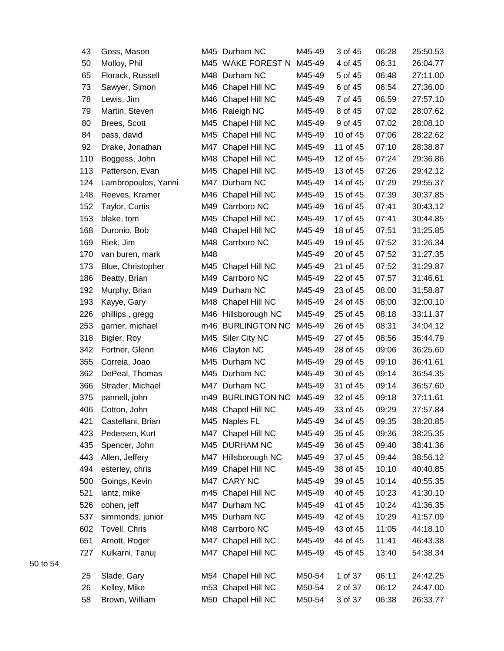| 43  | Goss, Mason         |     | M45 Durham NC       | M45-49 | 3 of 45  | 06:28 | 25:50.53 |
|-----|---------------------|-----|---------------------|--------|----------|-------|----------|
| 50  | Molloy, Phil        |     | M45 WAKE FOREST N   | M45-49 | 4 of 45  | 06:31 | 26:04.77 |
| 65  | Florack, Russell    |     | M48 Durham NC       | M45-49 | 5 of 45  | 06:48 | 27:11.00 |
| 73  | Sawyer, Simon       |     | M46 Chapel Hill NC  | M45-49 | 6 of 45  | 06:54 | 27:36.00 |
| 78  | Lewis, Jim          |     | M46 Chapel Hill NC  | M45-49 | 7 of 45  | 06:59 | 27:57.10 |
| 79  | Martin, Steven      |     | M46 Raleigh NC      | M45-49 | 8 of 45  | 07:02 | 28:07.62 |
| 80  | Brees, Scott        | M45 | Chapel Hill NC      | M45-49 | 9 of 45  | 07:02 | 28:08.10 |
| 84  | pass, david         |     | M45 Chapel Hill NC  | M45-49 | 10 of 45 | 07:06 | 28:22.62 |
| 92  | Drake, Jonathan     |     | M47 Chapel Hill NC  | M45-49 | 11 of 45 | 07:10 | 28:38.87 |
| 110 | Boggess, John       |     | M48 Chapel Hill NC  | M45-49 | 12 of 45 | 07:24 | 29:36.86 |
| 113 | Patterson, Evan     |     | M45 Chapel Hill NC  | M45-49 | 13 of 45 | 07:26 | 29:42.12 |
| 124 | Lambropoulos, Yanni |     | M47 Durham NC       | M45-49 | 14 of 45 | 07:29 | 29:55.37 |
| 148 | Reeves, Kramer      |     | M46 Chapel Hill NC  | M45-49 | 15 of 45 | 07:39 | 30:37.85 |
| 152 | Taylor, Curtis      |     | M49 Carrboro NC     | M45-49 | 16 of 45 | 07:41 | 30:43.12 |
| 153 | blake, tom          |     | M45 Chapel Hill NC  | M45-49 | 17 of 45 | 07:41 | 30:44.85 |
| 168 | Duronio, Bob        |     | M48 Chapel Hill NC  | M45-49 | 18 of 45 | 07:51 | 31:25.85 |
| 169 | Riek, Jim           |     | M48 Carrboro NC     | M45-49 | 19 of 45 | 07:52 | 31:26.34 |
| 170 | van buren, mark     | M48 |                     | M45-49 | 20 of 45 | 07:52 | 31:27.35 |
| 173 | Blue, Christopher   | M45 | Chapel Hill NC      | M45-49 | 21 of 45 | 07:52 | 31:29.87 |
| 186 | Beatty, Brian       |     | M49 Carrboro NC     | M45-49 | 22 of 45 | 07:57 | 31:46.61 |
| 192 | Murphy, Brian       |     | M49 Durham NC       | M45-49 | 23 of 45 | 08:00 | 31:58.87 |
| 193 | Kayye, Gary         |     | M48 Chapel Hill NC  | M45-49 | 24 of 45 | 08:00 | 32:00.10 |
| 226 | phillips, gregg     |     | M46 Hillsborough NC | M45-49 | 25 of 45 | 08:18 | 33:11.37 |
| 253 | garner, michael     |     | m46 BURLINGTON NC   | M45-49 | 26 of 45 | 08:31 | 34:04.12 |
| 318 | Bigler, Roy         |     | M45 Siler City NC   | M45-49 | 27 of 45 | 08:56 | 35:44.79 |
| 342 | Fortner, Glenn      |     | M46 Clayton NC      | M45-49 | 28 of 45 | 09:06 | 36:25.60 |
| 355 | Correia, Joao       |     | M45 Durham NC       | M45-49 | 29 of 45 | 09:10 | 36:41.61 |
| 362 | DePeal, Thomas      |     | M45 Durham NC       | M45-49 | 30 of 45 | 09:14 | 36:54.35 |
| 366 | Strader, Michael    |     | M47 Durham NC       | M45-49 | 31 of 45 | 09:14 | 36:57.60 |
| 375 | pannell, john       |     | m49 BURLINGTON NC   | M45-49 | 32 of 45 | 09:18 | 37:11.61 |
| 406 | Cotton, John        |     | M48 Chapel Hill NC  | M45-49 | 33 of 45 | 09:29 | 37:57.84 |
| 421 | Castellani, Brian   |     | M45 Naples FL       | M45-49 | 34 of 45 | 09:35 | 38:20.85 |
| 423 | Pedersen, Kurt      |     | M47 Chapel Hill NC  | M45-49 | 35 of 45 | 09:36 | 38:25.35 |
| 435 | Spencer, John       |     | M45 DURHAM NC       | M45-49 | 36 of 45 | 09:40 | 38:41.36 |
| 443 | Allen, Jeffery      |     | M47 Hillsborough NC | M45-49 | 37 of 45 | 09:44 | 38:56.12 |
| 494 | esterley, chris     |     | M49 Chapel Hill NC  | M45-49 | 38 of 45 | 10:10 | 40:40.85 |
| 500 | Goings, Kevin       |     | M47 CARY NC         | M45-49 | 39 of 45 | 10:14 | 40:55.35 |
| 521 | lantz, mike         |     | m45 Chapel Hill NC  | M45-49 | 40 of 45 | 10:23 | 41:30.10 |
| 526 | cohen, jeff         |     | M47 Durham NC       | M45-49 | 41 of 45 | 10:24 | 41:36.35 |
| 537 | simmonds, junior    |     | M45 Durham NC       | M45-49 | 42 of 45 | 10:29 | 41:57.09 |
| 602 | Tovell, Chris       |     | M48 Carrboro NC     | M45-49 | 43 of 45 | 11:05 | 44:18.10 |
| 651 | Arnott, Roger       |     | M47 Chapel Hill NC  | M45-49 | 44 of 45 | 11:41 | 46:43.38 |
| 727 | Kulkarni, Tanuj     |     | M47 Chapel Hill NC  | M45-49 | 45 of 45 | 13:40 | 54:38.34 |
| 25  | Slade, Gary         |     | M54 Chapel Hill NC  | M50-54 | 1 of 37  | 06:11 | 24:42.25 |
| 26  | Kelley, Mike        |     | m53 Chapel Hill NC  | M50-54 | 2 of 37  | 06:12 | 24:47.00 |
| 58  | Brown, William      |     | M50 Chapel Hill NC  | M50-54 | 3 of 37  | 06:38 | 26:33.77 |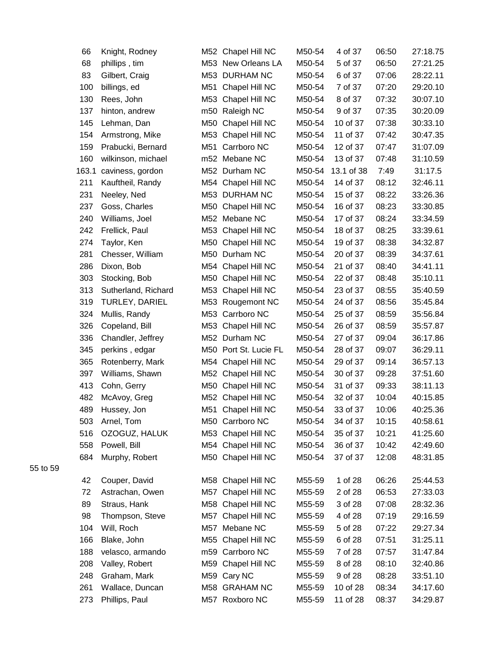| 66    | Knight, Rodney      |     | M52 Chapel Hill NC    | M50-54 | 4 of 37    | 06:50 | 27:18.75 |
|-------|---------------------|-----|-----------------------|--------|------------|-------|----------|
| 68    | phillips, tim       |     | M53 New Orleans LA    | M50-54 | 5 of 37    | 06:50 | 27:21.25 |
| 83    | Gilbert, Craig      |     | M53 DURHAM NC         | M50-54 | 6 of 37    | 07:06 | 28:22.11 |
| 100   | billings, ed        | M51 | Chapel Hill NC        | M50-54 | 7 of 37    | 07:20 | 29:20.10 |
| 130   | Rees, John          | M53 | Chapel Hill NC        | M50-54 | 8 of 37    | 07:32 | 30:07.10 |
| 137   | hinton, andrew      |     | m50 Raleigh NC        | M50-54 | 9 of 37    | 07:35 | 30:20.09 |
| 145   | Lehman, Dan         | M50 | Chapel Hill NC        | M50-54 | 10 of 37   | 07:38 | 30:33.10 |
| 154   | Armstrong, Mike     | M53 | Chapel Hill NC        | M50-54 | 11 of 37   | 07:42 | 30:47.35 |
| 159   | Prabucki, Bernard   | M51 | Carrboro NC           | M50-54 | 12 of 37   | 07:47 | 31:07.09 |
| 160   | wilkinson, michael  |     | m52 Mebane NC         | M50-54 | 13 of 37   | 07:48 | 31:10.59 |
| 163.1 | caviness, gordon    |     | M52 Durham NC         | M50-54 | 13.1 of 38 | 7:49  | 31:17.5  |
| 211   | Kauftheil, Randy    | M54 | Chapel Hill NC        | M50-54 | 14 of 37   | 08:12 | 32:46.11 |
| 231   | Neeley, Ned         |     | M53 DURHAM NC         | M50-54 | 15 of 37   | 08:22 | 33:26.36 |
| 237   | Goss, Charles       | M50 | Chapel Hill NC        | M50-54 | 16 of 37   | 08:23 | 33:30.85 |
| 240   | Williams, Joel      |     | M52 Mebane NC         | M50-54 | 17 of 37   | 08:24 | 33:34.59 |
| 242   | Frellick, Paul      |     | M53 Chapel Hill NC    | M50-54 | 18 of 37   | 08:25 | 33:39.61 |
| 274   | Taylor, Ken         | M50 | Chapel Hill NC        | M50-54 | 19 of 37   | 08:38 | 34:32.87 |
| 281   | Chesser, William    | M50 | Durham NC             | M50-54 | 20 of 37   | 08:39 | 34:37.61 |
| 286   | Dixon, Bob          | M54 | Chapel Hill NC        | M50-54 | 21 of 37   | 08:40 | 34:41.11 |
| 303   | Stocking, Bob       | M50 | Chapel Hill NC        | M50-54 | 22 of 37   | 08:48 | 35:10.11 |
| 313   | Sutherland, Richard | M53 | Chapel Hill NC        | M50-54 | 23 of 37   | 08:55 | 35:40.59 |
| 319   | TURLEY, DARIEL      | M53 | Rougemont NC          | M50-54 | 24 of 37   | 08:56 | 35:45.84 |
| 324   | Mullis, Randy       |     | M53 Carrboro NC       | M50-54 | 25 of 37   | 08:59 | 35:56.84 |
| 326   | Copeland, Bill      | M53 | Chapel Hill NC        | M50-54 | 26 of 37   | 08:59 | 35:57.87 |
| 336   | Chandler, Jeffrey   |     | M52 Durham NC         | M50-54 | 27 of 37   | 09:04 | 36:17.86 |
| 345   | perkins, edgar      |     | M50 Port St. Lucie FL | M50-54 | 28 of 37   | 09:07 | 36:29.11 |
| 365   | Rotenberry, Mark    | M54 | Chapel Hill NC        | M50-54 | 29 of 37   | 09:14 | 36:57.13 |
| 397   | Williams, Shawn     |     | M52 Chapel Hill NC    | M50-54 | 30 of 37   | 09:28 | 37:51.60 |
| 413   | Cohn, Gerry         |     | M50 Chapel Hill NC    | M50-54 | 31 of 37   | 09:33 | 38:11.13 |
| 482   | McAvoy, Greg        |     | M52 Chapel Hill NC    | M50-54 | 32 of 37   | 10:04 | 40:15.85 |
| 489   | Hussey, Jon         |     | M51 Chapel Hill NC    | M50-54 | 33 of 37   | 10:06 | 40:25.36 |
| 503   | Arnel, Tom          |     | M50 Carrboro NC       | M50-54 | 34 of 37   | 10:15 | 40:58.61 |
| 516   | OZOGUZ, HALUK       |     | M53 Chapel Hill NC    | M50-54 | 35 of 37   | 10:21 | 41:25.60 |
| 558   | Powell, Bill        |     | M54 Chapel Hill NC    | M50-54 | 36 of 37   | 10:42 | 42:49.60 |
| 684   | Murphy, Robert      |     | M50 Chapel Hill NC    | M50-54 | 37 of 37   | 12:08 | 48:31.85 |
| 42    | Couper, David       |     | M58 Chapel Hill NC    | M55-59 | 1 of 28    | 06:26 | 25:44.53 |
| 72    | Astrachan, Owen     |     | M57 Chapel Hill NC    | M55-59 | 2 of 28    | 06:53 | 27:33.03 |
| 89    | Straus, Hank        |     | M58 Chapel Hill NC    | M55-59 | 3 of 28    | 07:08 | 28:32.36 |
| 98    | Thompson, Steve     |     | M57 Chapel Hill NC    | M55-59 | 4 of 28    | 07:19 | 29:16.59 |
| 104   | Will, Roch          |     | M57 Mebane NC         | M55-59 | 5 of 28    | 07:22 | 29:27.34 |
| 166   | Blake, John         |     | M55 Chapel Hill NC    | M55-59 | 6 of 28    | 07:51 | 31:25.11 |
| 188   | velasco, armando    |     | m59 Carrboro NC       | M55-59 | 7 of 28    | 07:57 | 31:47.84 |
| 208   | Valley, Robert      |     | M59 Chapel Hill NC    | M55-59 | 8 of 28    | 08:10 | 32:40.86 |
| 248   | Graham, Mark        |     | M59 Cary NC           | M55-59 | 9 of 28    | 08:28 | 33:51.10 |
| 261   | Wallace, Duncan     |     | M58 GRAHAM NC         | M55-59 | 10 of 28   | 08:34 | 34:17.60 |
| 273   | Phillips, Paul      |     | M57 Roxboro NC        | M55-59 | 11 of 28   | 08:37 | 34:29.87 |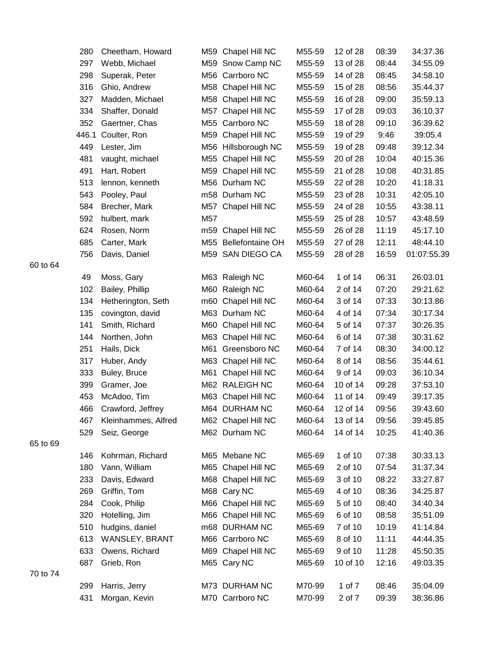|    | 280   | Cheetham, Howard    |     | M59 Chapel Hill NC   | M55-59 | 12 of 28 | 08:39 | 34:37.36    |
|----|-------|---------------------|-----|----------------------|--------|----------|-------|-------------|
|    | 297   | Webb, Michael       |     | M59 Snow Camp NC     | M55-59 | 13 of 28 | 08:44 | 34:55.09    |
|    | 298   | Superak, Peter      |     | M56 Carrboro NC      | M55-59 | 14 of 28 | 08:45 | 34:58.10    |
|    | 316   | Ghio, Andrew        | M58 | Chapel Hill NC       | M55-59 | 15 of 28 | 08:56 | 35:44.37    |
|    | 327   | Madden, Michael     | M58 | Chapel Hill NC       | M55-59 | 16 of 28 | 09:00 | 35:59.13    |
|    | 334   | Shaffer, Donald     | M57 | Chapel Hill NC       | M55-59 | 17 of 28 | 09:03 | 36:10.37    |
|    | 352   | Gaertner, Chas      | M55 | Carrboro NC          | M55-59 | 18 of 28 | 09:10 | 36:39.62    |
|    | 446.1 | Coulter, Ron        | M59 | Chapel Hill NC       | M55-59 | 19 of 29 | 9:46  | 39:05.4     |
|    | 449   | Lester, Jim         |     | M56 Hillsborough NC  | M55-59 | 19 of 28 | 09:48 | 39:12.34    |
|    | 481   | vaught, michael     | M55 | Chapel Hill NC       | M55-59 | 20 of 28 | 10:04 | 40:15.36    |
|    | 491   | Hart, Robert        | M59 | Chapel Hill NC       | M55-59 | 21 of 28 | 10:08 | 40:31.85    |
|    | 513   | lennon, kenneth     |     | M56 Durham NC        | M55-59 | 22 of 28 | 10:20 | 41:18.31    |
|    | 543   | Pooley, Paul        |     | m58 Durham NC        | M55-59 | 23 of 28 | 10:31 | 42:05.10    |
|    | 584   | Brecher, Mark       | M57 | Chapel Hill NC       | M55-59 | 24 of 28 | 10:55 | 43:38.11    |
|    | 592   | hulbert, mark       | M57 |                      | M55-59 | 25 of 28 | 10:57 | 43:48.59    |
|    | 624   | Rosen, Norm         | m59 | Chapel Hill NC       | M55-59 | 26 of 28 | 11:19 | 45:17.10    |
|    | 685   | Carter, Mark        |     | M55 Bellefontaine OH | M55-59 | 27 of 28 | 12:11 | 48:44.10    |
|    | 756   | Davis, Daniel       |     | M59 SAN DIEGO CA     | M55-59 | 28 of 28 | 16:59 | 01:07:55.39 |
| 64 |       |                     |     |                      |        |          |       |             |
|    | 49    | Moss, Gary          |     | M63 Raleigh NC       | M60-64 | 1 of 14  | 06:31 | 26:03.01    |
|    | 102   | Bailey, Phillip     |     | M60 Raleigh NC       | M60-64 | 2 of 14  | 07:20 | 29:21.62    |
|    | 134   | Hetherington, Seth  | m60 | Chapel Hill NC       | M60-64 | 3 of 14  | 07:33 | 30:13.86    |
|    | 135   | covington, david    |     | M63 Durham NC        | M60-64 | 4 of 14  | 07:34 | 30:17.34    |
|    | 141   | Smith, Richard      | M60 | Chapel Hill NC       | M60-64 | 5 of 14  | 07:37 | 30:26.35    |
|    | 144   | Northen, John       | M63 | Chapel Hill NC       | M60-64 | 6 of 14  | 07:38 | 30:31.62    |
|    | 251   | Hails, Dick         | M61 | Greensboro NC        | M60-64 | 7 of 14  | 08:30 | 34:00.12    |
|    | 317   | Huber, Andy         | M63 | Chapel Hill NC       | M60-64 | 8 of 14  | 08:56 | 35:44.61    |
|    | 333   | Buley, Bruce        | M61 | Chapel Hill NC       | M60-64 | 9 of 14  | 09:03 | 36:10.34    |
|    | 399   | Gramer, Joe         |     | M62 RALEIGH NC       | M60-64 | 10 of 14 | 09:28 | 37:53.10    |
|    | 453   | McAdoo, Tim         |     | M63 Chapel Hill NC   | M60-64 | 11 of 14 | 09:49 | 39:17.35    |
|    | 466   | Crawford, Jeffrey   |     | M64 DURHAM NC        | M60-64 | 12 of 14 | 09:56 | 39:43.60    |
|    | 467   | Kleinhammes, Alfred |     | M62 Chapel Hill NC   | M60-64 | 13 of 14 | 09:56 | 39:45.85    |
|    | 529   | Seiz, George        |     | M62 Durham NC        | M60-64 | 14 of 14 | 10:25 | 41:40.36    |
| 69 |       |                     |     |                      |        |          |       |             |
|    | 146   | Kohrman, Richard    |     | M65 Mebane NC        | M65-69 | 1 of 10  | 07:38 | 30:33.13    |
|    | 180   | Vann, William       |     | M65 Chapel Hill NC   | M65-69 | 2 of 10  | 07:54 | 31:37.34    |
|    | 233   | Davis, Edward       |     | M68 Chapel Hill NC   | M65-69 | 3 of 10  | 08:22 | 33:27.87    |
|    | 269   | Griffin, Tom        | M68 | Cary NC              | M65-69 | 4 of 10  | 08:36 | 34:25.87    |
|    | 284   | Cook, Philip        |     | M66 Chapel Hill NC   | M65-69 | 5 of 10  | 08:40 | 34:40.34    |
|    | 320   | Hotelling, Jim      |     | M66 Chapel Hill NC   | M65-69 | 6 of 10  | 08:58 | 35:51.09    |
|    | 510   | hudgins, daniel     |     | m68 DURHAM NC        | M65-69 | 7 of 10  | 10:19 | 41:14.84    |
|    | 613   | WANSLEY, BRANT      |     | M66 Carrboro NC      | M65-69 | 8 of 10  | 11:11 | 44:44.35    |
|    | 633   | Owens, Richard      |     | M69 Chapel Hill NC   | M65-69 | 9 of 10  | 11:28 | 45:50.35    |
|    | 687   | Grieb, Ron          |     | M65 Cary NC          | M65-69 | 10 of 10 | 12:16 | 49:03.35    |
| 74 |       |                     |     |                      |        |          |       |             |
|    | 299   | Harris, Jerry       |     | M73 DURHAM NC        | M70-99 | 1 of 7   | 08:46 | 35:04.09    |
|    | 431   | Morgan, Kevin       |     | M70 Carrboro NC      | M70-99 | 2 of 7   | 09:39 | 38:36.86    |

to